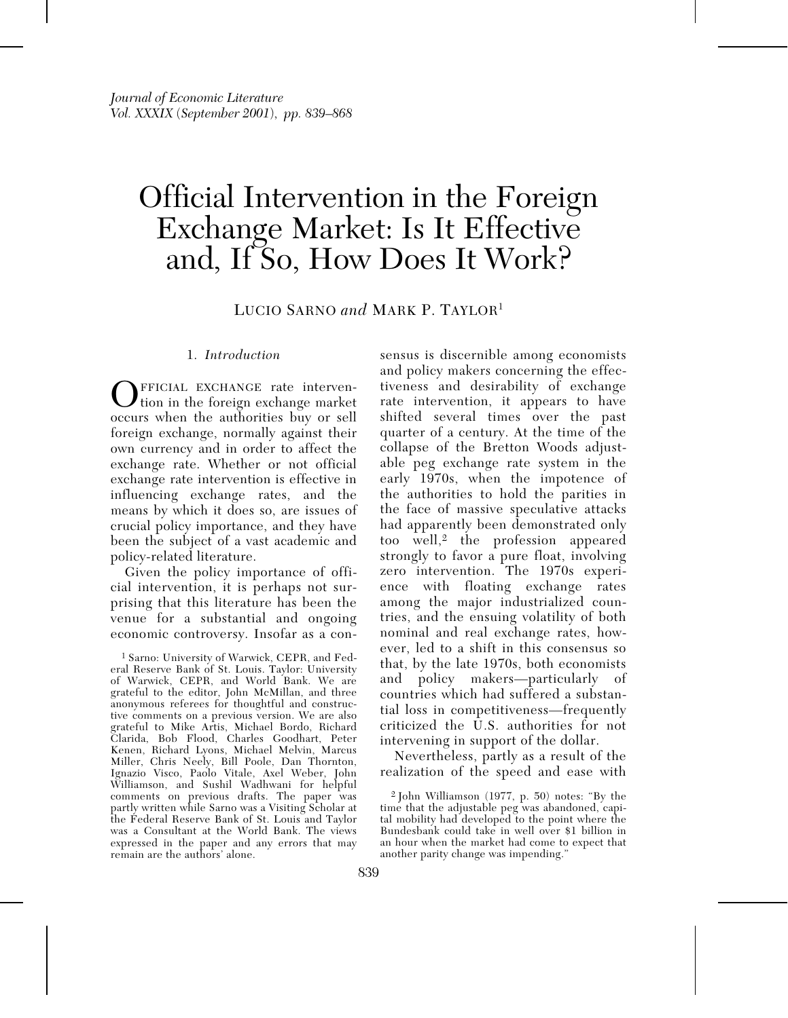# Official Intervention in the Foreign Exchange Market: Is It Effective and, If So, How Does It Work?

LUCIO SARNO *and* MARK P. TAYLOR<sup>1</sup>

#### 1. *Introduction*

OFFICIAL EXCHANGE rate intervention in the foreign exchange market occurs when the authorities buy or sell foreign exchange, normally against their own currency and in order to affect the exchange rate. Whether or not official exchange rate intervention is effective in influencing exchange rates, and the means by which it does so, are issues of crucial policy importance, and they have been the subject of a vast academic and policy-related literature.

Given the policy importance of official intervention, it is perhaps not surprising that this literature has been the venue for a substantial and ongoing economic controversy. Insofar as a consensus is discernible among economists and policy makers concerning the effectiveness and desirability of exchange rate intervention, it appears to have shifted several times over the past quarter of a century. At the time of the collapse of the Bretton Woods adjustable peg exchange rate system in the early 1970s, when the impotence of the authorities to hold the parities in the face of massive speculative attacks had apparently been demonstrated only too well,2 the profession appeared strongly to favor a pure float, involving zero intervention. The 1970s experience with floating exchange rates among the major industrialized countries, and the ensuing volatility of both nominal and real exchange rates, however, led to a shift in this consensus so that, by the late 1970s, both economists and policy makers—particularly of countries which had suffered a substantial loss in competitiveness—frequently criticized the U.S. authorities for not intervening in support of the dollar.

Nevertheless, partly as a result of the realization of the speed and ease with

<sup>1</sup> Sarno: University of Warwick, CEPR, and Federal Reserve Bank of St. Louis. Taylor: University of Warwick, CEPR, and World Bank. We are grateful to the editor, John McMillan, and three anonymous referees for thoughtful and constructive comments on a previous version. We are also grateful to Mike Artis, Michael Bordo, Richard Clarida, Bob Flood, Charles Goodhart, Peter Kenen, Richard Lyons, Michael Melvin, Marcus Miller, Chris Neely, Bill Poole, Dan Thornton, Ignazio Visco, Paolo Vitale, Axel Weber, John Williamson, and Sushil Wadhwani for helpful comments on previous drafts. The paper was partly written while Sarno was a Visiting Scholar at the Federal Reserve Bank of St. Louis and Taylor was a Consultant at the World Bank. The views expressed in the paper and any errors that may remain are the authors' alone.

<sup>2</sup> John Williamson (1977, p. 50) notes: "By the time that the adjustable peg was abandoned, capital mobility had developed to the point where the Bundesbank could take in well over \$1 billion in an hour when the market had come to expect that another parity change was impending."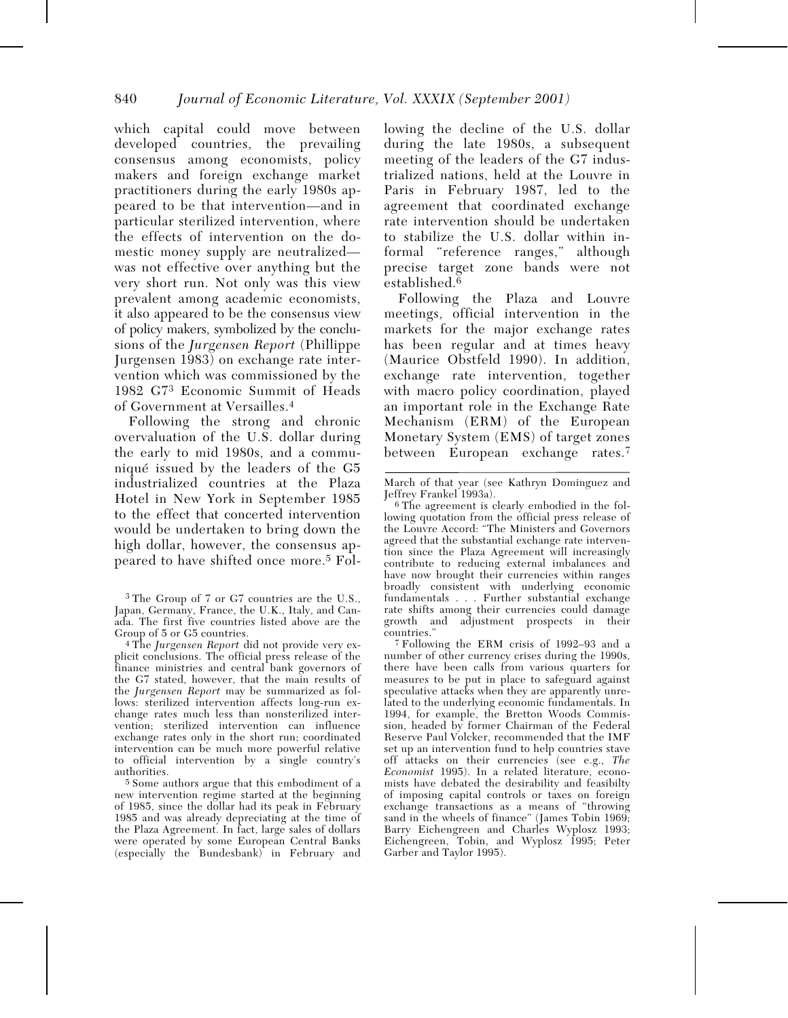which capital could move between developed countries, the prevailing consensus among economists, policy makers and foreign exchange market practitioners during the early 1980s appeared to be that intervention—and in particular sterilized intervention, where the effects of intervention on the domestic money supply are neutralized was not effective over anything but the very short run. Not only was this view prevalent among academic economists, it also appeared to be the consensus view of policy makers, symbolized by the conclusions of the *Jurgensen Report* (Phillippe Jurgensen 1983) on exchange rate intervention which was commissioned by the 1982 G73 Economic Summit of Heads of Government at Versailles.4

Following the strong and chronic overvaluation of the U.S. dollar during the early to mid 1980s, and a communiqué issued by the leaders of the G5 industrialized countries at the Plaza Hotel in New York in September 1985 to the effect that concerted intervention would be undertaken to bring down the high dollar, however, the consensus appeared to have shifted once more.5 Fol-

5 Some authors argue that this embodiment of a new intervention regime started at the beginning of 1985, since the dollar had its peak in February 1985 and was already depreciating at the time of the Plaza Agreement. In fact, large sales of dollars were operated by some European Central Banks (especially the Bundesbank) in February and lowing the decline of the U.S. dollar during the late 1980s, a subsequent meeting of the leaders of the G7 industrialized nations, held at the Louvre in Paris in February 1987, led to the agreement that coordinated exchange rate intervention should be undertaken to stabilize the U.S. dollar within informal "reference ranges," although precise target zone bands were not established.6

Following the Plaza and Louvre meetings, official intervention in the markets for the major exchange rates has been regular and at times heavy (Maurice Obstfeld 1990). In addition, exchange rate intervention, together with macro policy coordination, played an important role in the Exchange Rate Mechanism (ERM) of the European Monetary System (EMS) of target zones between European exchange rates.7

6 The agreement is clearly embodied in the following quotation from the official press release of the Louvre Accord: "The Ministers and Governors agreed that the substantial exchange rate intervention since the Plaza Agreement will increasingly contribute to reducing external imbalances and have now brought their currencies within ranges broadly consistent with underlying economic fundamentals . . . Further substantial exchange rate shifts among their currencies could damage growth and adjustment prospects in their countries."

7 Following the ERM crisis of 1992–93 and a number of other currency crises during the 1990s, there have been calls from various quarters for measures to be put in place to safeguard against speculative attacks when they are apparently unrelated to the underlying economic fundamentals. In 1994, for example, the Bretton Woods Commission, headed by former Chairman of the Federal Reserve Paul Volcker, recommended that the IMF set up an intervention fund to help countries stave off attacks on their currencies (see e.g., *The Economist* 1995). In a related literature, economists have debated the desirability and feasibilty of imposing capital controls or taxes on foreign exchange transactions as a means of "throwing sand in the wheels of finance" (James Tobin 1969; Barry Eichengreen and Charles Wyplosz 1993; Eichengreen, Tobin, and Wyplosz 1995; Peter Garber and Taylor 1995).

<sup>3</sup> The Group of 7 or G7 countries are the U.S., Japan, Germany, France, the U.K., Italy, and Canada. The first five countries listed above are the Group of 5 or G5 countries.

<sup>4</sup> The *Jurgensen Report* did not provide very explicit conclusions. The official press release of the finance ministries and central bank governors of the G7 stated, however, that the main results of the *Jurgensen Report* may be summarized as follows: sterilized intervention affects long-run exchange rates much less than nonsterilized intervention; sterilized intervention can influence exchange rates only in the short run; coordinated intervention can be much more powerful relative to official intervention by a single country's authorities.

March of that year (see Kathryn Dominguez and Jeffrey Frankel 1993a).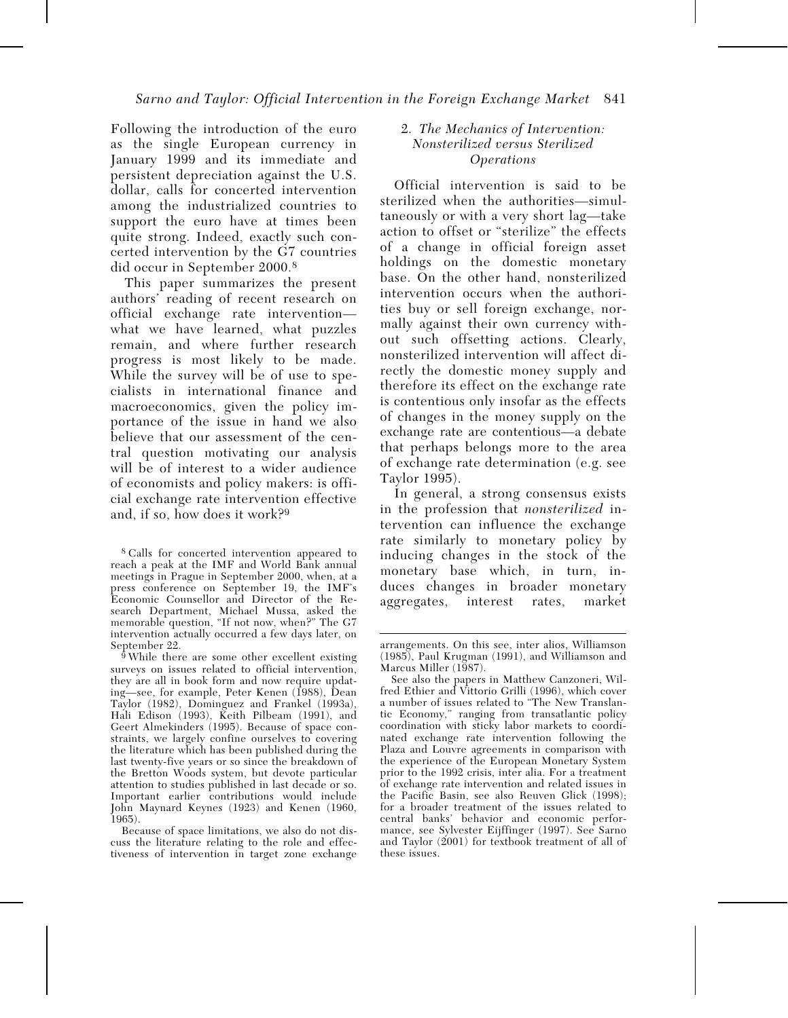Following the introduction of the euro as the single European currency in January 1999 and its immediate and persistent depreciation against the U.S. dollar, calls for concerted intervention among the industrialized countries to support the euro have at times been quite strong. Indeed, exactly such concerted intervention by the G7 countries did occur in September 2000.8

This paper summarizes the present authors' reading of recent research on official exchange rate intervention what we have learned, what puzzles remain, and where further research progress is most likely to be made. While the survey will be of use to specialists in international finance and macroeconomics, given the policy importance of the issue in hand we also believe that our assessment of the central question motivating our analysis will be of interest to a wider audience of economists and policy makers: is official exchange rate intervention effective and, if so, how does it work?9

Because of space limitations, we also do not discuss the literature relating to the role and effectiveness of intervention in target zone exchange

### 2. *The Mechanics of Intervention: Nonsterilized versus Sterilized Operations*

Official intervention is said to be sterilized when the authorities—simultaneously or with a very short lag—take action to offset or "sterilize" the effects of a change in official foreign asset holdings on the domestic monetary base. On the other hand, nonsterilized intervention occurs when the authorities buy or sell foreign exchange, normally against their own currency without such offsetting actions. Clearly, nonsterilized intervention will affect directly the domestic money supply and therefore its effect on the exchange rate is contentious only insofar as the effects of changes in the money supply on the exchange rate are contentious—a debate that perhaps belongs more to the area of exchange rate determination (e.g. see Taylor 1995).

In general, a strong consensus exists in the profession that *nonsterilized* intervention can influence the exchange rate similarly to monetary policy by inducing changes in the stock of the monetary base which, in turn, induces changes in broader monetary aggregates, interest rates, market

<sup>8</sup> Calls for concerted intervention appeared to reach a peak at the IMF and World Bank annual meetings in Prague in September 2000, when, at a press conference on September 19, the IMF's Economic Counsellor and Director of the Research Department, Michael Mussa, asked the memorable question, "If not now, when?" The G7 intervention actually occurred a few days later, on September 22.

<sup>&</sup>lt;sup>9</sup> While there are some other excellent existing surveys on issues related to official intervention, they are all in book form and now require updating—see, for example, Peter Kenen (1988), Dean Taylor (1982), Dominguez and Frankel (1993a), Hali Edison (1993), Keith Pilbeam (1991), and Geert Almekinders (1995). Because of space constraints, we largely confine ourselves to covering the literature which has been published during the last twenty-five years or so since the breakdown of the Bretton Woods system, but devote particular attention to studies published in last decade or so. Important earlier contributions would include John Maynard Keynes (1923) and Kenen (1960, 1965).

arrangements. On this see, inter alios, Williamson (1985), Paul Krugman (1991), and Williamson and Marcus Miller (1987).

See also the papers in Matthew Canzoneri, Wilfred Ethier and Vittorio Grilli (1996), which cover a number of issues related to "The New Translantic Economy," ranging from transatlantic policy coordination with sticky labor markets to coordinated exchange rate intervention following the Plaza and Louvre agreements in comparison with the experience of the European Monetary System prior to the 1992 crisis, inter alia. For a treatment of exchange rate intervention and related issues in the Pacific Basin, see also Reuven Glick (1998); for a broader treatment of the issues related to central banks' behavior and economic performance, see Sylvester Eijffinger (1997). See Sarno and Taylor (2001) for textbook treatment of all of these issues.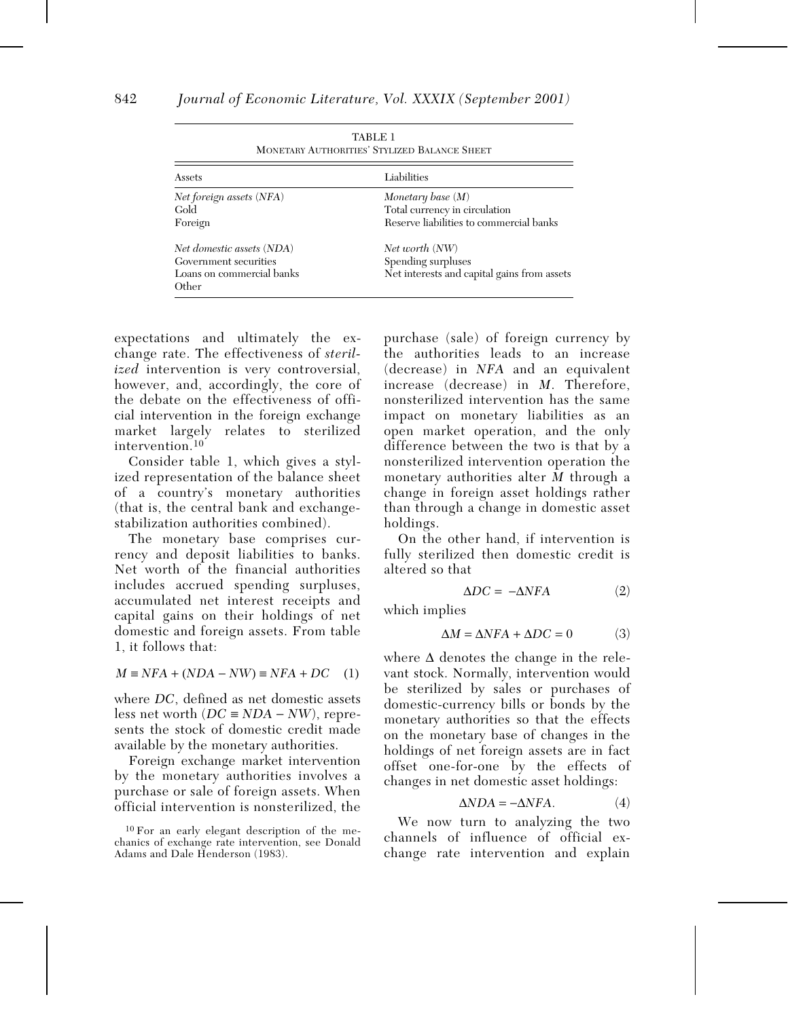| Assets                    | Liabilities                                 |
|---------------------------|---------------------------------------------|
| Net foreign assets (NFA)  | Monetary base $(M)$                         |
| Gold                      | Total currency in circulation               |
| Foreign                   | Reserve liabilities to commercial banks     |
| Net domestic assets (NDA) | Net worth (NW)                              |
| Government securities     | Spending surpluses                          |
| Loans on commercial banks | Net interests and capital gains from assets |
| Other                     |                                             |

TABLE 1 MONETARY AUTHORITIES' STYLIZED BALANCE SHEET

expectations and ultimately the exchange rate. The effectiveness of *sterilized* intervention is very controversial, however, and, accordingly, the core of the debate on the effectiveness of official intervention in the foreign exchange market largely relates to sterilized intervention.10

Consider table 1, which gives a stylized representation of the balance sheet of a country's monetary authorities (that is, the central bank and exchangestabilization authorities combined).

The monetary base comprises currency and deposit liabilities to banks. Net worth of the financial authorities includes accrued spending surpluses, accumulated net interest receipts and capital gains on their holdings of net domestic and foreign assets. From table 1, it follows that:

$$
M \equiv NFA + (NDA - NW) \equiv NFA + DC \quad (1)
$$

where *DC*, defined as net domestic assets less net worth  $(DC \equiv NDA - NW)$ , represents the stock of domestic credit made available by the monetary authorities.

Foreign exchange market intervention by the monetary authorities involves a purchase or sale of foreign assets. When official intervention is nonsterilized, the

purchase (sale) of foreign currency by the authorities leads to an increase (decrease) in *NFA* and an equivalent increase (decrease) in *M*. Therefore, nonsterilized intervention has the same impact on monetary liabilities as an open market operation, and the only difference between the two is that by a nonsterilized intervention operation the monetary authorities alter *M* through a change in foreign asset holdings rather than through a change in domestic asset holdings.

On the other hand, if intervention is fully sterilized then domestic credit is altered so that

$$
\Delta DC = -\Delta NFA \tag{2}
$$

which implies

$$
\Delta M = \Delta NFA + \Delta DC = 0 \tag{3}
$$

where ∆ denotes the change in the relevant stock. Normally, intervention would be sterilized by sales or purchases of domestic-currency bills or bonds by the monetary authorities so that the effects on the monetary base of changes in the holdings of net foreign assets are in fact offset one-for-one by the effects of changes in net domestic asset holdings:

$$
\Delta NDA = -\Delta NFA. \tag{4}
$$

We now turn to analyzing the two channels of influence of official exchange rate intervention and explain

<sup>10</sup> For an early elegant description of the mechanics of exchange rate intervention, see Donald Adams and Dale Henderson (1983).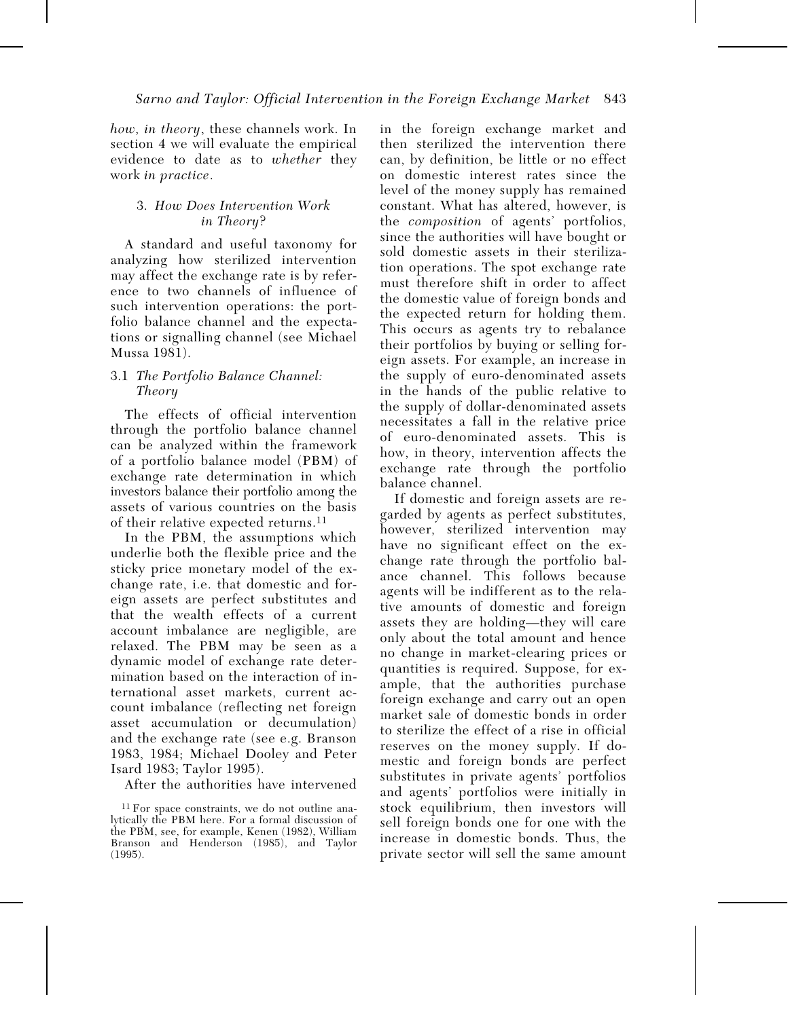*how, in theory*, these channels work. In section 4 we will evaluate the empirical evidence to date as to *whether* they work *in practice*.

#### 3. *How Does Intervention Work in Theory*?

A standard and useful taxonomy for analyzing how sterilized intervention may affect the exchange rate is by reference to two channels of influence of such intervention operations: the portfolio balance channel and the expectations or signalling channel (see Michael Mussa 1981).

# 3.1 *The Portfolio Balance Channel: Theory*

The effects of official intervention through the portfolio balance channel can be analyzed within the framework of a portfolio balance model (PBM) of exchange rate determination in which investors balance their portfolio among the assets of various countries on the basis of their relative expected returns.11

In the PBM, the assumptions which underlie both the flexible price and the sticky price monetary model of the exchange rate, i.e. that domestic and foreign assets are perfect substitutes and that the wealth effects of a current account imbalance are negligible, are relaxed. The PBM may be seen as a dynamic model of exchange rate determination based on the interaction of international asset markets, current account imbalance (reflecting net foreign asset accumulation or decumulation) and the exchange rate (see e.g. Branson 1983, 1984; Michael Dooley and Peter Isard 1983; Taylor 1995).

After the authorities have intervened

in the foreign exchange market and then sterilized the intervention there can, by definition, be little or no effect on domestic interest rates since the level of the money supply has remained constant. What has altered, however, is the *composition* of agents' portfolios, since the authorities will have bought or sold domestic assets in their sterilization operations. The spot exchange rate must therefore shift in order to affect the domestic value of foreign bonds and the expected return for holding them. This occurs as agents try to rebalance their portfolios by buying or selling foreign assets. For example, an increase in the supply of euro-denominated assets in the hands of the public relative to the supply of dollar-denominated assets necessitates a fall in the relative price of euro-denominated assets. This is how, in theory, intervention affects the exchange rate through the portfolio balance channel.

If domestic and foreign assets are regarded by agents as perfect substitutes, however, sterilized intervention may have no significant effect on the exchange rate through the portfolio balance channel. This follows because agents will be indifferent as to the relative amounts of domestic and foreign assets they are holding—they will care only about the total amount and hence no change in market-clearing prices or quantities is required. Suppose, for example, that the authorities purchase foreign exchange and carry out an open market sale of domestic bonds in order to sterilize the effect of a rise in official reserves on the money supply. If domestic and foreign bonds are perfect substitutes in private agents' portfolios and agents' portfolios were initially in stock equilibrium, then investors will sell foreign bonds one for one with the increase in domestic bonds. Thus, the private sector will sell the same amount

<sup>11</sup> For space constraints, we do not outline analytically the PBM here. For a formal discussion of the PBM, see, for example, Kenen (1982), William Branson and Henderson (1985), and Taylor (1995).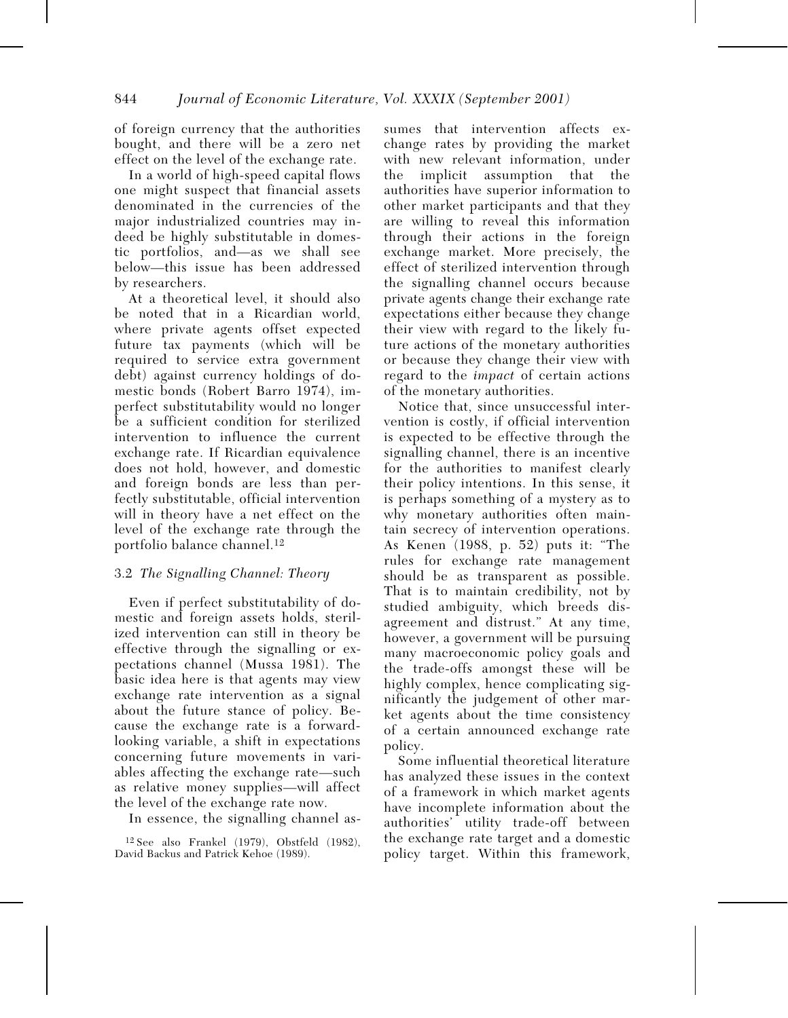of foreign currency that the authorities bought, and there will be a zero net effect on the level of the exchange rate.

In a world of high-speed capital flows one might suspect that financial assets denominated in the currencies of the major industrialized countries may indeed be highly substitutable in domestic portfolios, and—as we shall see below—this issue has been addressed by researchers.

At a theoretical level, it should also be noted that in a Ricardian world, where private agents offset expected future tax payments (which will be required to service extra government debt) against currency holdings of domestic bonds (Robert Barro 1974), imperfect substitutability would no longer be a sufficient condition for sterilized intervention to influence the current exchange rate. If Ricardian equivalence does not hold, however, and domestic and foreign bonds are less than perfectly substitutable, official intervention will in theory have a net effect on the level of the exchange rate through the portfolio balance channel.12

# 3.2 *The Signalling Channel: Theory*

Even if perfect substitutability of domestic and foreign assets holds, sterilized intervention can still in theory be effective through the signalling or expectations channel (Mussa 1981). The basic idea here is that agents may view exchange rate intervention as a signal about the future stance of policy. Because the exchange rate is a forwardlooking variable, a shift in expectations concerning future movements in variables affecting the exchange rate—such as relative money supplies—will affect the level of the exchange rate now.

In essence, the signalling channel as-

sumes that intervention affects exchange rates by providing the market with new relevant information, under the implicit assumption that the authorities have superior information to other market participants and that they are willing to reveal this information through their actions in the foreign exchange market. More precisely, the effect of sterilized intervention through the signalling channel occurs because private agents change their exchange rate expectations either because they change their view with regard to the likely future actions of the monetary authorities or because they change their view with regard to the *impact* of certain actions of the monetary authorities.

Notice that, since unsuccessful intervention is costly, if official intervention is expected to be effective through the signalling channel, there is an incentive for the authorities to manifest clearly their policy intentions. In this sense, it is perhaps something of a mystery as to why monetary authorities often maintain secrecy of intervention operations. As Kenen (1988, p. 52) puts it: "The rules for exchange rate management should be as transparent as possible. That is to maintain credibility, not by studied ambiguity, which breeds disagreement and distrust." At any time, however, a government will be pursuing many macroeconomic policy goals and the trade-offs amongst these will be highly complex, hence complicating significantly the judgement of other market agents about the time consistency of a certain announced exchange rate policy.

Some influential theoretical literature has analyzed these issues in the context of a framework in which market agents have incomplete information about the authorities' utility trade-off between the exchange rate target and a domestic policy target. Within this framework,

<sup>12</sup> See also Frankel (1979), Obstfeld (1982), David Backus and Patrick Kehoe (1989).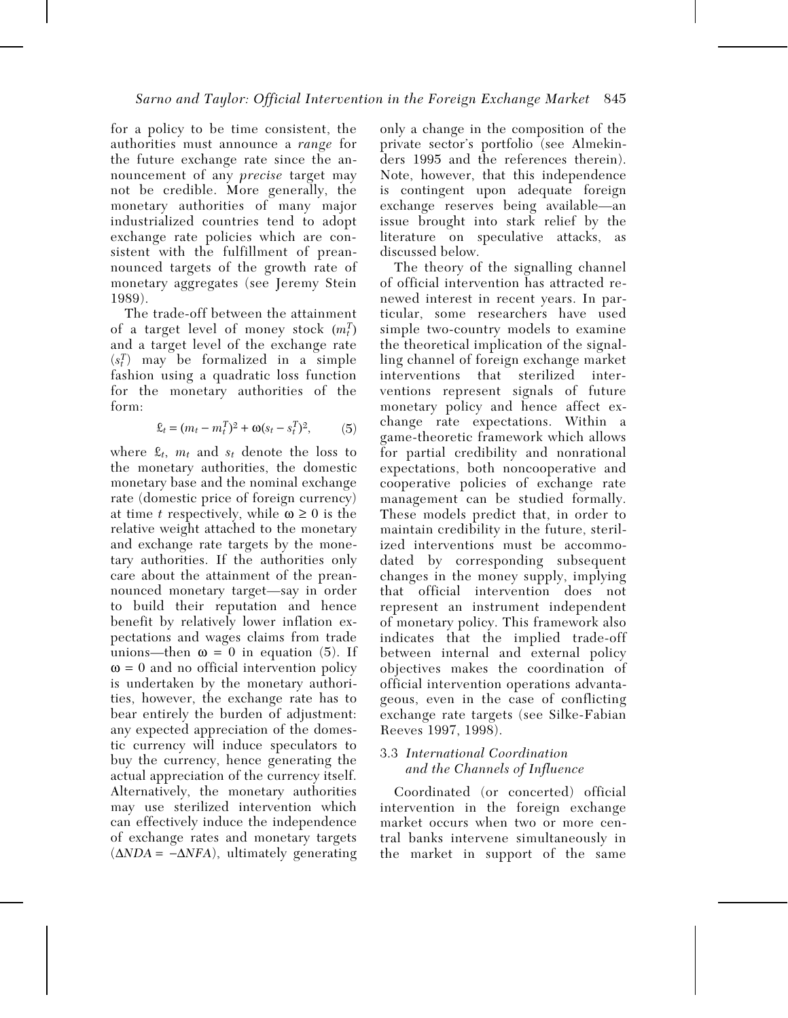for a policy to be time consistent, the authorities must announce a *range* for the future exchange rate since the announcement of any *precise* target may not be credible. More generally, the monetary authorities of many major industrialized countries tend to adopt exchange rate policies which are consistent with the fulfillment of preannounced targets of the growth rate of monetary aggregates (see Jeremy Stein 1989).

The trade-off between the attainment of a target level of money stock  $(m_t^T)$ and a target level of the exchange rate  $(s_t^T)$  may be formalized in a simple fashion using a quadratic loss function for the monetary authorities of the form:

$$
\pounds_t = (m_t - m_t^T)^2 + \omega(s_t - s_t^T)^2, \tag{5}
$$

where  $\mathfrak{L}_t$ ,  $m_t$  and  $s_t$  denote the loss to the monetary authorities, the domestic monetary base and the nominal exchange rate (domestic price of foreign currency) at time *t* respectively, while  $\omega \geq 0$  is the relative weight attached to the monetary and exchange rate targets by the monetary authorities. If the authorities only care about the attainment of the preannounced monetary target—say in order to build their reputation and hence benefit by relatively lower inflation expectations and wages claims from trade unions—then  $\omega = 0$  in equation (5). If  $\omega = 0$  and no official intervention policy is undertaken by the monetary authorities, however, the exchange rate has to bear entirely the burden of adjustment: any expected appreciation of the domestic currency will induce speculators to buy the currency, hence generating the actual appreciation of the currency itself. Alternatively, the monetary authorities may use sterilized intervention which can effectively induce the independence of exchange rates and monetary targets (∆*NDA* = −∆*NFA*), ultimately generating

only a change in the composition of the private sector's portfolio (see Almekinders 1995 and the references therein). Note, however, that this independence is contingent upon adequate foreign exchange reserves being available—an issue brought into stark relief by the literature on speculative attacks, as discussed below.

The theory of the signalling channel of official intervention has attracted renewed interest in recent years. In particular, some researchers have used simple two-country models to examine the theoretical implication of the signalling channel of foreign exchange market interventions that sterilized interventions represent signals of future monetary policy and hence affect exchange rate expectations. Within a game-theoretic framework which allows for partial credibility and nonrational expectations, both noncooperative and cooperative policies of exchange rate management can be studied formally. These models predict that, in order to maintain credibility in the future, sterilized interventions must be accommodated by corresponding subsequent changes in the money supply, implying that official intervention does not represent an instrument independent of monetary policy. This framework also indicates that the implied trade-off between internal and external policy objectives makes the coordination of official intervention operations advantageous, even in the case of conflicting exchange rate targets (see Silke-Fabian Reeves 1997, 1998).

# 3.3 *International Coordination and the Channels of Influence*

Coordinated (or concerted) official intervention in the foreign exchange market occurs when two or more central banks intervene simultaneously in the market in support of the same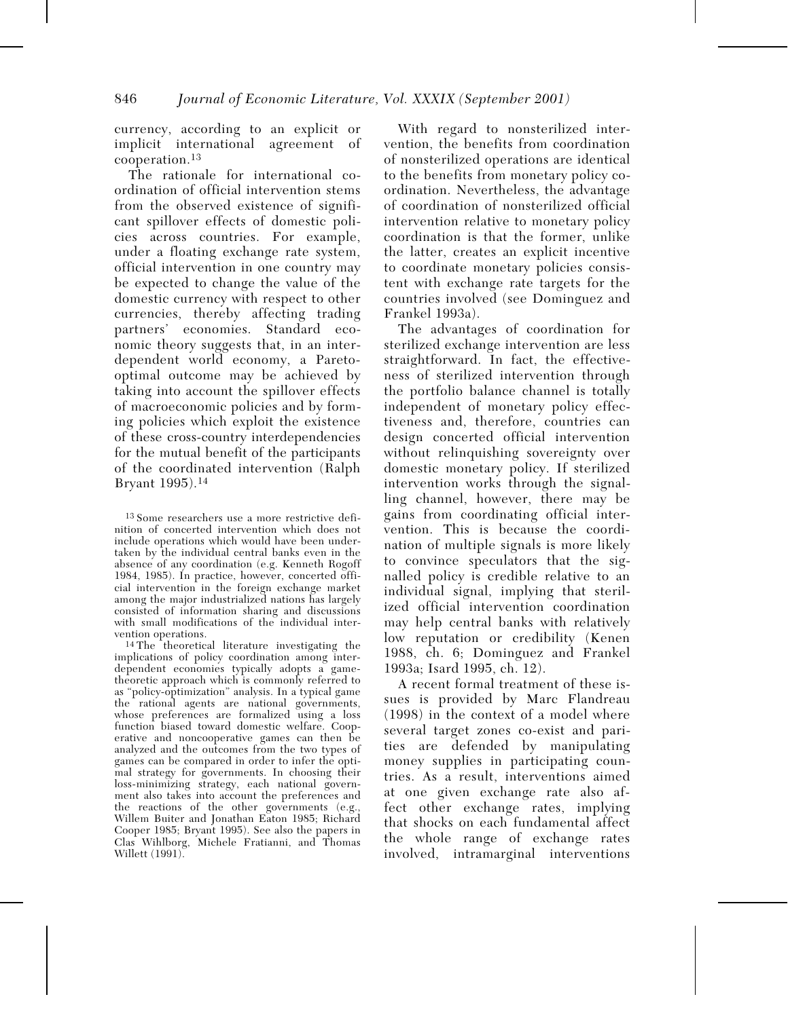currency, according to an explicit or implicit international agreement of cooperation.13

The rationale for international coordination of official intervention stems from the observed existence of significant spillover effects of domestic policies across countries. For example, under a floating exchange rate system, official intervention in one country may be expected to change the value of the domestic currency with respect to other currencies, thereby affecting trading partners' economies. Standard economic theory suggests that, in an interdependent world economy, a Paretooptimal outcome may be achieved by taking into account the spillover effects of macroeconomic policies and by forming policies which exploit the existence of these cross-country interdependencies for the mutual benefit of the participants of the coordinated intervention (Ralph Bryant 1995).14

13 Some researchers use a more restrictive definition of concerted intervention which does not include operations which would have been undertaken by the individual central banks even in the absence of any coordination (e.g. Kenneth Rogoff 1984, 1985). In practice, however, concerted official intervention in the foreign exchange market among the major industrialized nations has largely consisted of information sharing and discussions with small modifications of the individual intervention operations.

14 The theoretical literature investigating the implications of policy coordination among interdependent economies typically adopts a gametheoretic approach which is commonly referred to as "policy-optimization" analysis. In a typical game the rational agents are national governments, whose preferences are formalized using a loss function biased toward domestic welfare. Cooperative and noncooperative games can then be analyzed and the outcomes from the two types of games can be compared in order to infer the optimal strategy for governments. In choosing their loss-minimizing strategy, each national government also takes into account the preferences and the reactions of the other governments (e.g., Willem Buiter and Jonathan Eaton 1985; Richard Cooper 1985; Bryant 1995). See also the papers in Clas Wihlborg, Michele Fratianni, and Thomas Willett (1991).

With regard to nonsterilized intervention, the benefits from coordination of nonsterilized operations are identical to the benefits from monetary policy coordination. Nevertheless, the advantage of coordination of nonsterilized official intervention relative to monetary policy coordination is that the former, unlike the latter, creates an explicit incentive to coordinate monetary policies consistent with exchange rate targets for the countries involved (see Dominguez and Frankel 1993a).

The advantages of coordination for sterilized exchange intervention are less straightforward. In fact, the effectiveness of sterilized intervention through the portfolio balance channel is totally independent of monetary policy effectiveness and, therefore, countries can design concerted official intervention without relinquishing sovereignty over domestic monetary policy. If sterilized intervention works through the signalling channel, however, there may be gains from coordinating official intervention. This is because the coordination of multiple signals is more likely to convince speculators that the signalled policy is credible relative to an individual signal, implying that sterilized official intervention coordination may help central banks with relatively low reputation or credibility (Kenen 1988, ch. 6; Dominguez and Frankel 1993a; Isard 1995, ch. 12).

A recent formal treatment of these issues is provided by Marc Flandreau (1998) in the context of a model where several target zones co-exist and parities are defended by manipulating money supplies in participating countries. As a result, interventions aimed at one given exchange rate also affect other exchange rates, implying that shocks on each fundamental affect the whole range of exchange rates involved, intramarginal interventions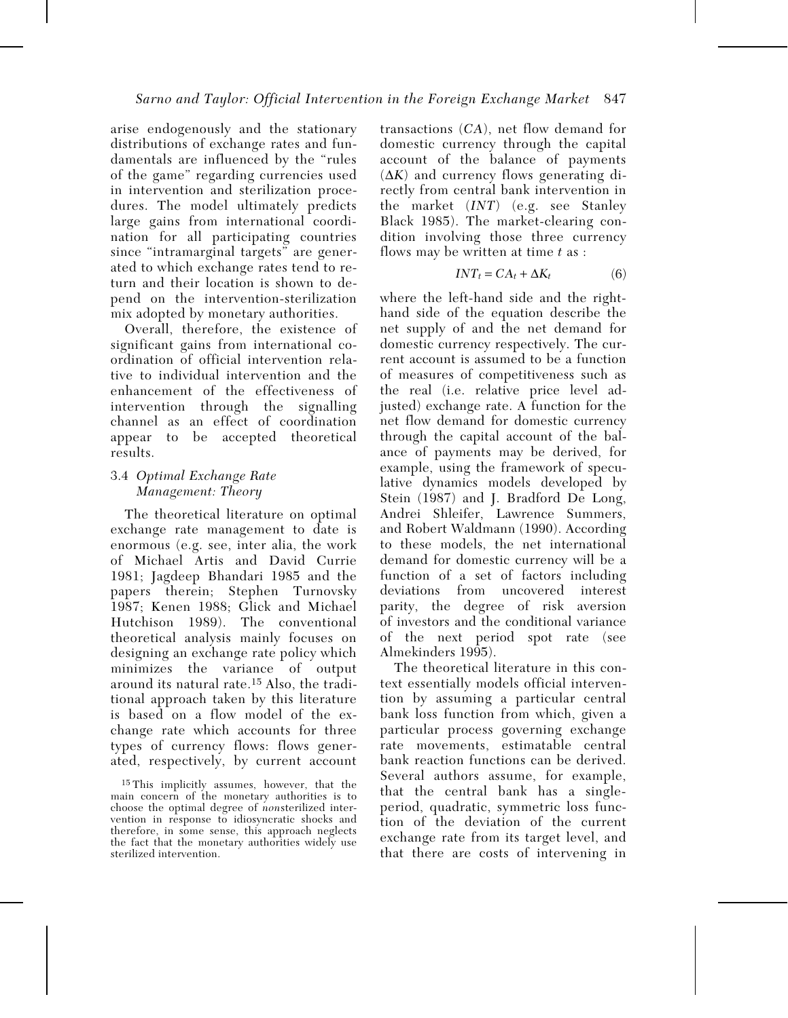arise endogenously and the stationary distributions of exchange rates and fundamentals are influenced by the "rules of the game" regarding currencies used in intervention and sterilization procedures. The model ultimately predicts large gains from international coordination for all participating countries since "intramarginal targets" are generated to which exchange rates tend to return and their location is shown to depend on the intervention-sterilization mix adopted by monetary authorities.

Overall, therefore, the existence of significant gains from international coordination of official intervention relative to individual intervention and the enhancement of the effectiveness of intervention through the signalling channel as an effect of coordination appear to be accepted theoretical results.

### 3.4 *Optimal Exchange Rate Management: Theory*

The theoretical literature on optimal exchange rate management to date is enormous (e.g. see, inter alia, the work of Michael Artis and David Currie 1981; Jagdeep Bhandari 1985 and the papers therein; Stephen Turnovsky 1987; Kenen 1988; Glick and Michael Hutchison 1989). The conventional theoretical analysis mainly focuses on designing an exchange rate policy which minimizes the variance of output around its natural rate.15 Also, the traditional approach taken by this literature is based on a flow model of the exchange rate which accounts for three types of currency flows: flows generated, respectively, by current account

transactions (*CA*), net flow demand for domestic currency through the capital account of the balance of payments (∆*K*) and currency flows generating directly from central bank intervention in the market (*INT*) (e.g. see Stanley Black 1985). The market-clearing condition involving those three currency flows may be written at time *t* as :

$$
INT_t = CA_t + \Delta K_t \tag{6}
$$

where the left-hand side and the righthand side of the equation describe the net supply of and the net demand for domestic currency respectively. The current account is assumed to be a function of measures of competitiveness such as the real (i.e. relative price level adjusted) exchange rate. A function for the net flow demand for domestic currency through the capital account of the balance of payments may be derived, for example, using the framework of speculative dynamics models developed by Stein (1987) and J. Bradford De Long, Andrei Shleifer, Lawrence Summers, and Robert Waldmann (1990). According to these models, the net international demand for domestic currency will be a function of a set of factors including deviations from uncovered interest parity, the degree of risk aversion of investors and the conditional variance of the next period spot rate (see Almekinders 1995).

The theoretical literature in this context essentially models official intervention by assuming a particular central bank loss function from which, given a particular process governing exchange rate movements, estimatable central bank reaction functions can be derived. Several authors assume, for example, that the central bank has a singleperiod, quadratic, symmetric loss function of the deviation of the current exchange rate from its target level, and that there are costs of intervening in

<sup>15</sup> This implicitly assumes, however, that the main concern of the monetary authorities is to choose the optimal degree of *non*sterilized intervention in response to idiosyncratic shocks and therefore, in some sense, this approach neglects the fact that the monetary authorities widely use sterilized intervention.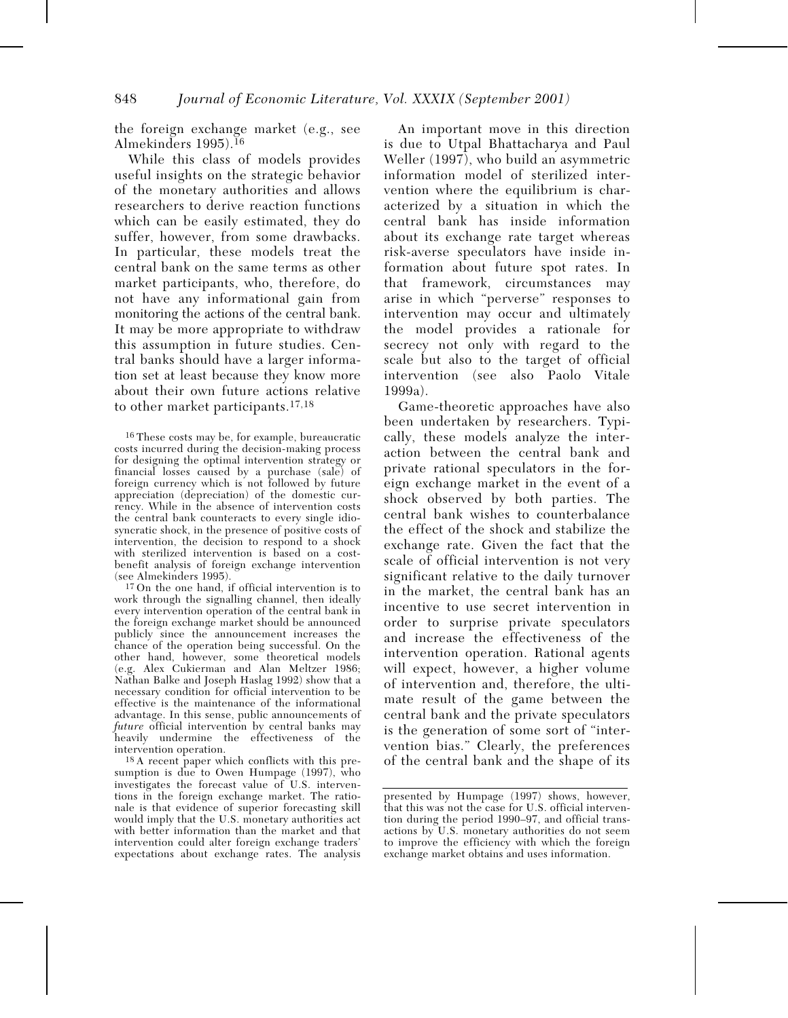the foreign exchange market (e.g., see Almekinders 1995).16

While this class of models provides useful insights on the strategic behavior of the monetary authorities and allows researchers to derive reaction functions which can be easily estimated, they do suffer, however, from some drawbacks. In particular, these models treat the central bank on the same terms as other market participants, who, therefore, do not have any informational gain from monitoring the actions of the central bank. It may be more appropriate to withdraw this assumption in future studies. Central banks should have a larger information set at least because they know more about their own future actions relative to other market participants.17,18

16 These costs may be, for example, bureaucratic costs incurred during the decision-making process for designing the optimal intervention strategy or financial losses caused by a purchase (sale) of foreign currency which is not followed by future appreciation (depreciation) of the domestic currency. While in the absence of intervention costs the central bank counteracts to every single idiosyncratic shock, in the presence of positive costs of intervention, the decision to respond to a shock with sterilized intervention is based on a costbenefit analysis of foreign exchange intervention (see Almekinders 1995).

17 On the one hand, if official intervention is to work through the signalling channel, then ideally every intervention operation of the central bank in the foreign exchange market should be announced publicly since the announcement increases the chance of the operation being successful. On the other hand, however, some theoretical models (e.g. Alex Cukierman and Alan Meltzer 1986; Nathan Balke and Joseph Haslag 1992) show that a necessary condition for official intervention to be effective is the maintenance of the informational advantage. In this sense, public announcements of *future* official intervention by central banks may heavily undermine the effectiveness of the intervention operation.

18 A recent paper which conflicts with this presumption is due to Owen Humpage (1997), who investigates the forecast value of U.S. interventions in the foreign exchange market. The rationale is that evidence of superior forecasting skill would imply that the U.S. monetary authorities act with better information than the market and that intervention could alter foreign exchange traders' expectations about exchange rates. The analysis

An important move in this direction is due to Utpal Bhattacharya and Paul Weller (1997), who build an asymmetric information model of sterilized intervention where the equilibrium is characterized by a situation in which the central bank has inside information about its exchange rate target whereas risk-averse speculators have inside information about future spot rates. In that framework, circumstances may arise in which "perverse" responses to intervention may occur and ultimately the model provides a rationale for secrecy not only with regard to the scale but also to the target of official intervention (see also Paolo Vitale 1999a).

Game-theoretic approaches have also been undertaken by researchers. Typically, these models analyze the interaction between the central bank and private rational speculators in the foreign exchange market in the event of a shock observed by both parties. The central bank wishes to counterbalance the effect of the shock and stabilize the exchange rate. Given the fact that the scale of official intervention is not very significant relative to the daily turnover in the market, the central bank has an incentive to use secret intervention in order to surprise private speculators and increase the effectiveness of the intervention operation. Rational agents will expect, however, a higher volume of intervention and, therefore, the ultimate result of the game between the central bank and the private speculators is the generation of some sort of "intervention bias." Clearly, the preferences of the central bank and the shape of its

presented by Humpage (1997) shows, however, that this was not the case for U.S. official intervention during the period 1990–97, and official transactions by U.S. monetary authorities do not seem to improve the efficiency with which the foreign exchange market obtains and uses information.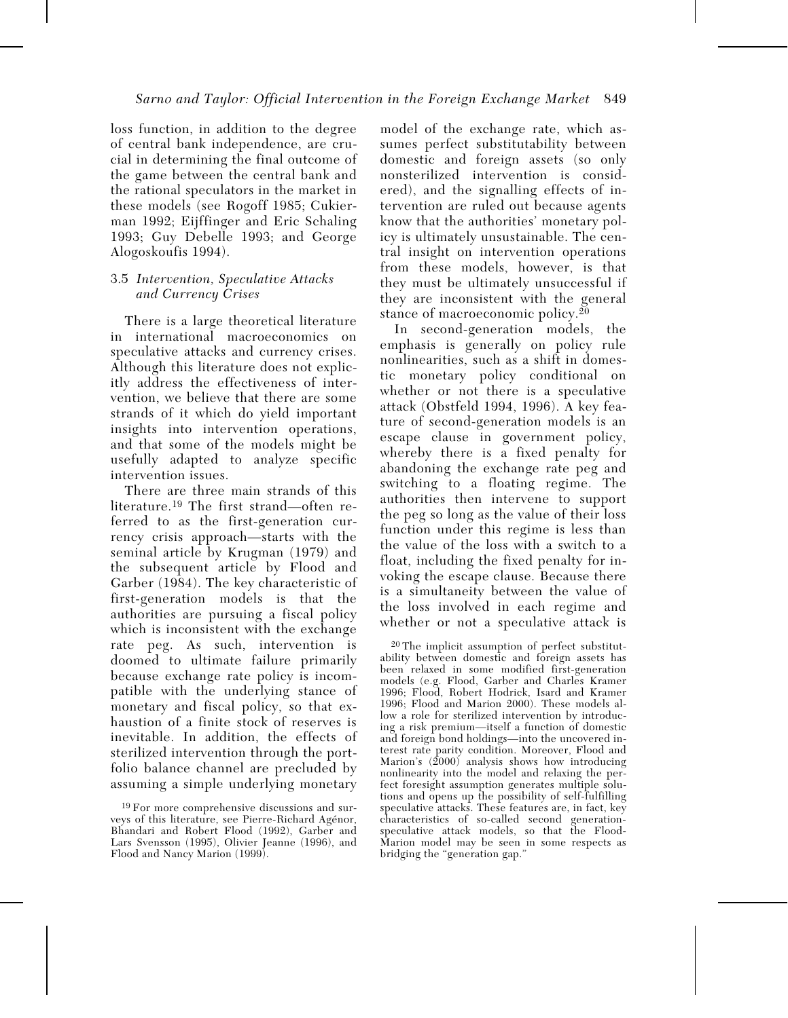loss function, in addition to the degree of central bank independence, are crucial in determining the final outcome of the game between the central bank and the rational speculators in the market in these models (see Rogoff 1985; Cukierman 1992; Eijffinger and Eric Schaling 1993; Guy Debelle 1993; and George Alogoskoufis 1994).

### 3.5 *Intervention, Speculative Attacks and Currency Crises*

There is a large theoretical literature in international macroeconomics on speculative attacks and currency crises. Although this literature does not explicitly address the effectiveness of intervention, we believe that there are some strands of it which do yield important insights into intervention operations, and that some of the models might be usefully adapted to analyze specific intervention issues.

There are three main strands of this literature.19 The first strand—often referred to as the first-generation currency crisis approach—starts with the seminal article by Krugman (1979) and the subsequent article by Flood and Garber (1984). The key characteristic of first-generation models is that the authorities are pursuing a fiscal policy which is inconsistent with the exchange rate peg. As such, intervention is doomed to ultimate failure primarily because exchange rate policy is incompatible with the underlying stance of monetary and fiscal policy, so that exhaustion of a finite stock of reserves is inevitable. In addition, the effects of sterilized intervention through the portfolio balance channel are precluded by assuming a simple underlying monetary model of the exchange rate, which assumes perfect substitutability between domestic and foreign assets (so only nonsterilized intervention is considered), and the signalling effects of intervention are ruled out because agents know that the authorities' monetary policy is ultimately unsustainable. The central insight on intervention operations from these models, however, is that they must be ultimately unsuccessful if they are inconsistent with the general stance of macroeconomic policy.20

In second-generation models, the emphasis is generally on policy rule nonlinearities, such as a shift in domestic monetary policy conditional on whether or not there is a speculative attack (Obstfeld 1994, 1996). A key feature of second-generation models is an escape clause in government policy, whereby there is a fixed penalty for abandoning the exchange rate peg and switching to a floating regime. The authorities then intervene to support the peg so long as the value of their loss function under this regime is less than the value of the loss with a switch to a float, including the fixed penalty for invoking the escape clause. Because there is a simultaneity between the value of the loss involved in each regime and whether or not a speculative attack is

20 The implicit assumption of perfect substitutability between domestic and foreign assets has been relaxed in some modified first-generation models (e.g. Flood, Garber and Charles Kramer 1996; Flood, Robert Hodrick, Isard and Kramer 1996; Flood and Marion 2000). These models allow a role for sterilized intervention by introducing a risk premium—itself a function of domestic and foreign bond holdings—into the uncovered interest rate parity condition. Moreover, Flood and Marion's  $(2000)$  analysis shows how introducing nonlinearity into the model and relaxing the perfect foresight assumption generates multiple solutions and opens up the possibility of self-fulfilling speculative attacks. These features are, in fact, key characteristics of so-called second generationspeculative attack models, so that the Flood-Marion model may be seen in some respects as bridging the "generation gap."

<sup>19</sup> For more comprehensive discussions and surveys of this literature, see Pierre-Richard Agénor, Bhandari and Robert Flood (1992), Garber and Lars Svensson (1995), Olivier Jeanne (1996), and Flood and Nancy Marion (1999).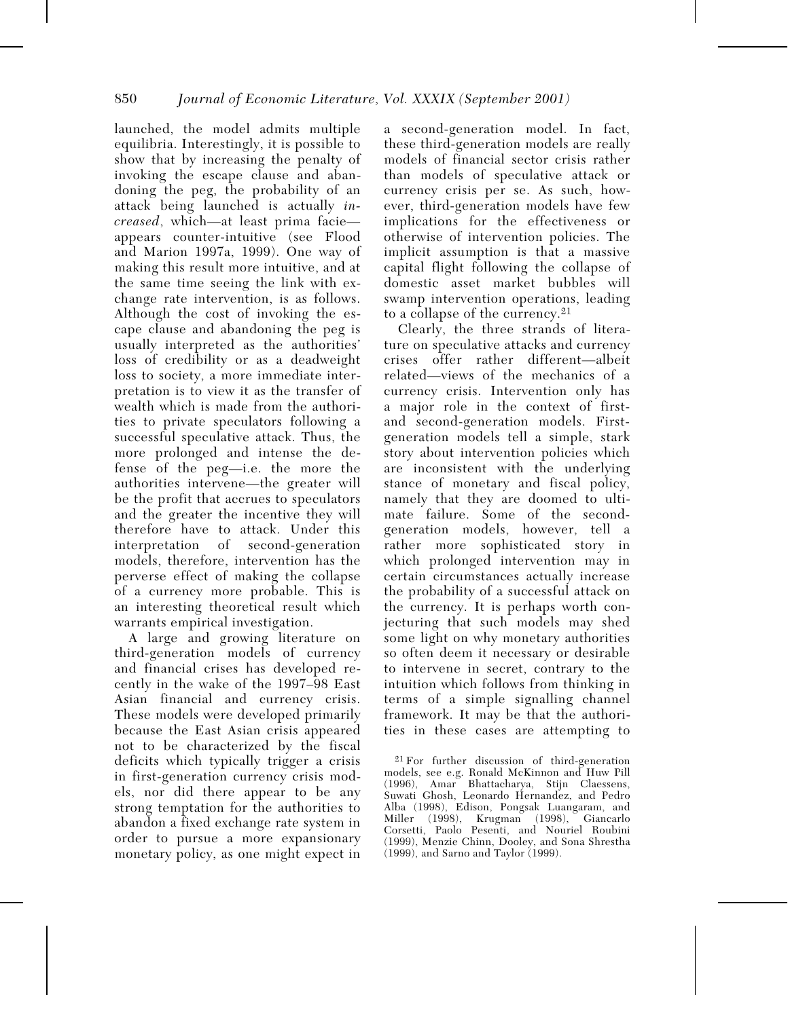launched, the model admits multiple equilibria. Interestingly, it is possible to show that by increasing the penalty of invoking the escape clause and abandoning the peg, the probability of an attack being launched is actually *increased*, which—at least prima facie appears counter-intuitive (see Flood and Marion 1997a, 1999). One way of making this result more intuitive, and at the same time seeing the link with exchange rate intervention, is as follows. Although the cost of invoking the escape clause and abandoning the peg is usually interpreted as the authorities' loss of credibility or as a deadweight loss to society, a more immediate interpretation is to view it as the transfer of wealth which is made from the authorities to private speculators following a successful speculative attack. Thus, the more prolonged and intense the defense of the peg—i.e. the more the authorities intervene—the greater will be the profit that accrues to speculators and the greater the incentive they will therefore have to attack. Under this interpretation of second-generation models, therefore, intervention has the perverse effect of making the collapse of a currency more probable. This is an interesting theoretical result which warrants empirical investigation.

A large and growing literature on third-generation models of currency and financial crises has developed recently in the wake of the 1997–98 East Asian financial and currency crisis. These models were developed primarily because the East Asian crisis appeared not to be characterized by the fiscal deficits which typically trigger a crisis in first-generation currency crisis models, nor did there appear to be any strong temptation for the authorities to abandon a fixed exchange rate system in order to pursue a more expansionary monetary policy, as one might expect in a second-generation model. In fact, these third-generation models are really models of financial sector crisis rather than models of speculative attack or currency crisis per se. As such, however, third-generation models have few implications for the effectiveness or otherwise of intervention policies. The implicit assumption is that a massive capital flight following the collapse of domestic asset market bubbles will swamp intervention operations, leading to a collapse of the currency.21

Clearly, the three strands of literature on speculative attacks and currency crises offer rather different—albeit related—views of the mechanics of a currency crisis. Intervention only has a major role in the context of firstand second-generation models. Firstgeneration models tell a simple, stark story about intervention policies which are inconsistent with the underlying stance of monetary and fiscal policy, namely that they are doomed to ultimate failure. Some of the secondgeneration models, however, tell a rather more sophisticated story in which prolonged intervention may in certain circumstances actually increase the probability of a successful attack on the currency. It is perhaps worth conjecturing that such models may shed some light on why monetary authorities so often deem it necessary or desirable to intervene in secret, contrary to the intuition which follows from thinking in terms of a simple signalling channel framework. It may be that the authorities in these cases are attempting to

21 For further discussion of third-generation models, see e.g. Ronald McKinnon and Huw Pill (1996), Amar Bhattacharya, Stijn Claessens, Suwati Ghosh, Leonardo Hernandez, and Pedro Alba (1998), Edison, Pongsak Luangaram, and Miller (1998), Krugman (1998), Giancarlo Corsetti, Paolo Pesenti, and Nouriel Roubini (1999), Menzie Chinn, Dooley, and Sona Shrestha (1999), and Sarno and Taylor (1999).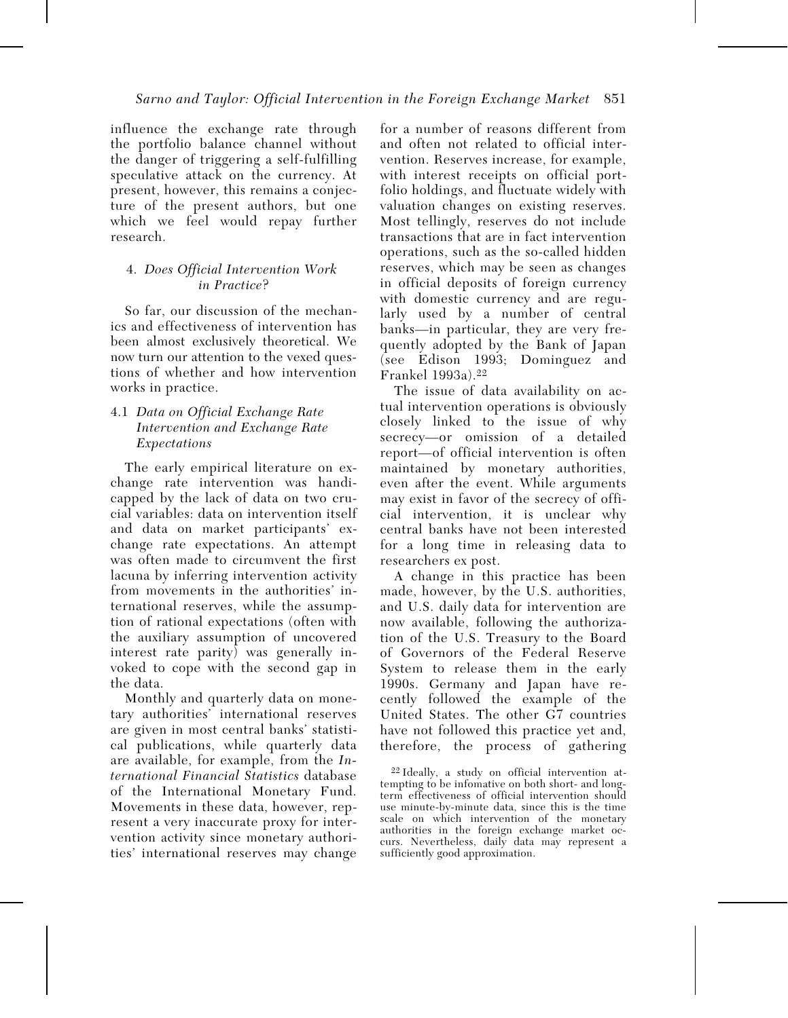influence the exchange rate through the portfolio balance channel without the danger of triggering a self-fulfilling speculative attack on the currency. At present, however, this remains a conjecture of the present authors, but one which we feel would repay further research.

### 4. *Does Official Intervention Work in Practice*?

So far, our discussion of the mechanics and effectiveness of intervention has been almost exclusively theoretical. We now turn our attention to the vexed questions of whether and how intervention works in practice.

### 4.1 *Data on Official Exchange Rate Intervention and Exchange Rate Expectations*

The early empirical literature on exchange rate intervention was handicapped by the lack of data on two crucial variables: data on intervention itself and data on market participants' exchange rate expectations. An attempt was often made to circumvent the first lacuna by inferring intervention activity from movements in the authorities' international reserves, while the assumption of rational expectations (often with the auxiliary assumption of uncovered interest rate parity) was generally invoked to cope with the second gap in the data.

Monthly and quarterly data on monetary authorities' international reserves are given in most central banks' statistical publications, while quarterly data are available, for example, from the *International Financial Statistics* database of the International Monetary Fund. Movements in these data, however, represent a very inaccurate proxy for intervention activity since monetary authorities' international reserves may change for a number of reasons different from and often not related to official intervention. Reserves increase, for example, with interest receipts on official portfolio holdings, and fluctuate widely with valuation changes on existing reserves. Most tellingly, reserves do not include transactions that are in fact intervention operations, such as the so-called hidden reserves, which may be seen as changes in official deposits of foreign currency with domestic currency and are regularly used by a number of central banks—in particular, they are very frequently adopted by the Bank of Japan (see Edison 1993; Dominguez and Frankel 1993a).22

The issue of data availability on actual intervention operations is obviously closely linked to the issue of why secrecy—or omission of a detailed report—of official intervention is often maintained by monetary authorities, even after the event. While arguments may exist in favor of the secrecy of official intervention, it is unclear why central banks have not been interested for a long time in releasing data to researchers ex post.

A change in this practice has been made, however, by the U.S. authorities, and U.S. daily data for intervention are now available, following the authorization of the U.S. Treasury to the Board of Governors of the Federal Reserve System to release them in the early 1990s. Germany and Japan have recently followed the example of the United States. The other G7 countries have not followed this practice yet and, therefore, the process of gathering

22 Ideally, a study on official intervention attempting to be infomative on both short- and longterm effectiveness of official intervention should use minute-by-minute data, since this is the time scale on which intervention of the monetary authorities in the foreign exchange market occurs. Nevertheless, daily data may represent a sufficiently good approximation.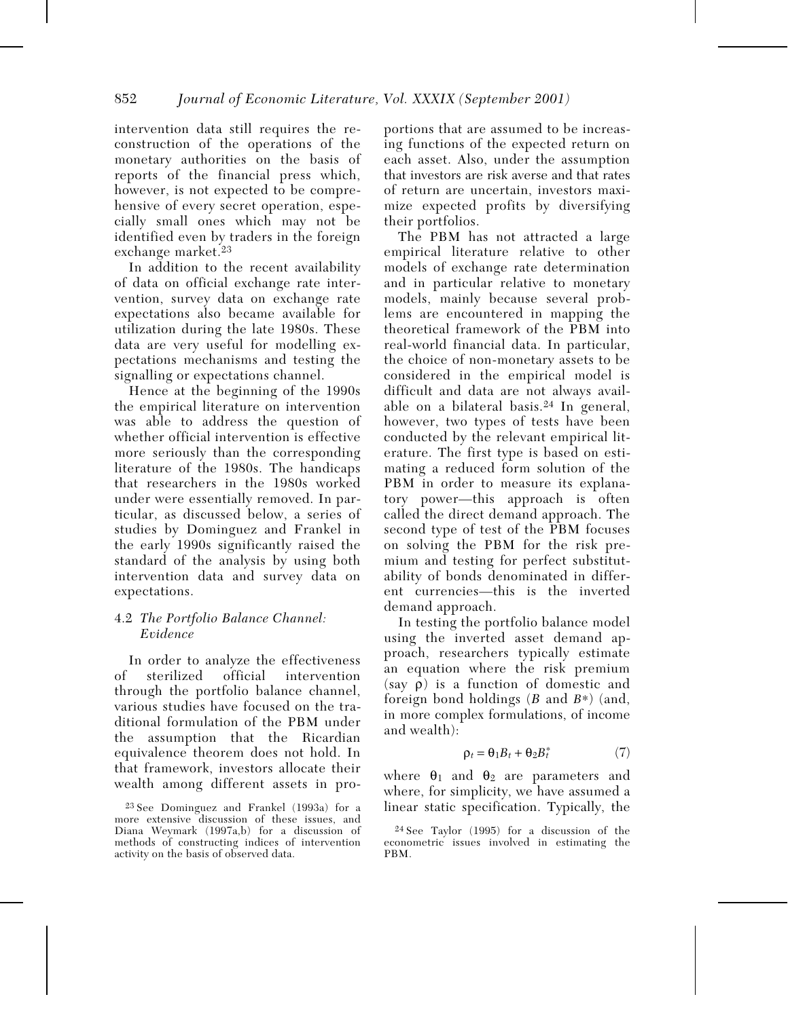intervention data still requires the reconstruction of the operations of the monetary authorities on the basis of reports of the financial press which, however, is not expected to be comprehensive of every secret operation, especially small ones which may not be identified even by traders in the foreign exchange market.23

In addition to the recent availability of data on official exchange rate intervention, survey data on exchange rate expectations also became available for utilization during the late 1980s. These data are very useful for modelling expectations mechanisms and testing the signalling or expectations channel.

Hence at the beginning of the 1990s the empirical literature on intervention was able to address the question of whether official intervention is effective more seriously than the corresponding literature of the 1980s. The handicaps that researchers in the 1980s worked under were essentially removed. In particular, as discussed below, a series of studies by Dominguez and Frankel in the early 1990s significantly raised the standard of the analysis by using both intervention data and survey data on expectations.

### 4.2 *The Portfolio Balance Channel: Evidence*

In order to analyze the effectiveness of sterilized official intervention through the portfolio balance channel, various studies have focused on the traditional formulation of the PBM under the assumption that the Ricardian equivalence theorem does not hold. In that framework, investors allocate their wealth among different assets in pro-

portions that are assumed to be increasing functions of the expected return on each asset. Also, under the assumption that investors are risk averse and that rates of return are uncertain, investors maximize expected profits by diversifying their portfolios.

The PBM has not attracted a large empirical literature relative to other models of exchange rate determination and in particular relative to monetary models, mainly because several problems are encountered in mapping the theoretical framework of the PBM into real-world financial data. In particular, the choice of non-monetary assets to be considered in the empirical model is difficult and data are not always available on a bilateral basis.24 In general, however, two types of tests have been conducted by the relevant empirical literature. The first type is based on estimating a reduced form solution of the PBM in order to measure its explanatory power—this approach is often called the direct demand approach. The second type of test of the PBM focuses on solving the PBM for the risk premium and testing for perfect substitutability of bonds denominated in different currencies—this is the inverted demand approach.

In testing the portfolio balance model using the inverted asset demand approach, researchers typically estimate an equation where the risk premium (say ρ) is a function of domestic and foreign bond holdings (*B* and *B*∗) (and, in more complex formulations, of income and wealth):

$$
\rho_t = \Theta_1 B_t + \Theta_2 B_t^* \tag{7}
$$

where  $\theta_1$  and  $\theta_2$  are parameters and where, for simplicity, we have assumed a <sup>23</sup> See Dominguez and Frankel (1993a) for a linear static specification. Typically, the

more extensive discussion of these issues, and Diana Weymark (1997a,b) for a discussion of methods of constructing indices of intervention activity on the basis of observed data.

<sup>24</sup> See Taylor (1995) for a discussion of the econometric issues involved in estimating the PBM.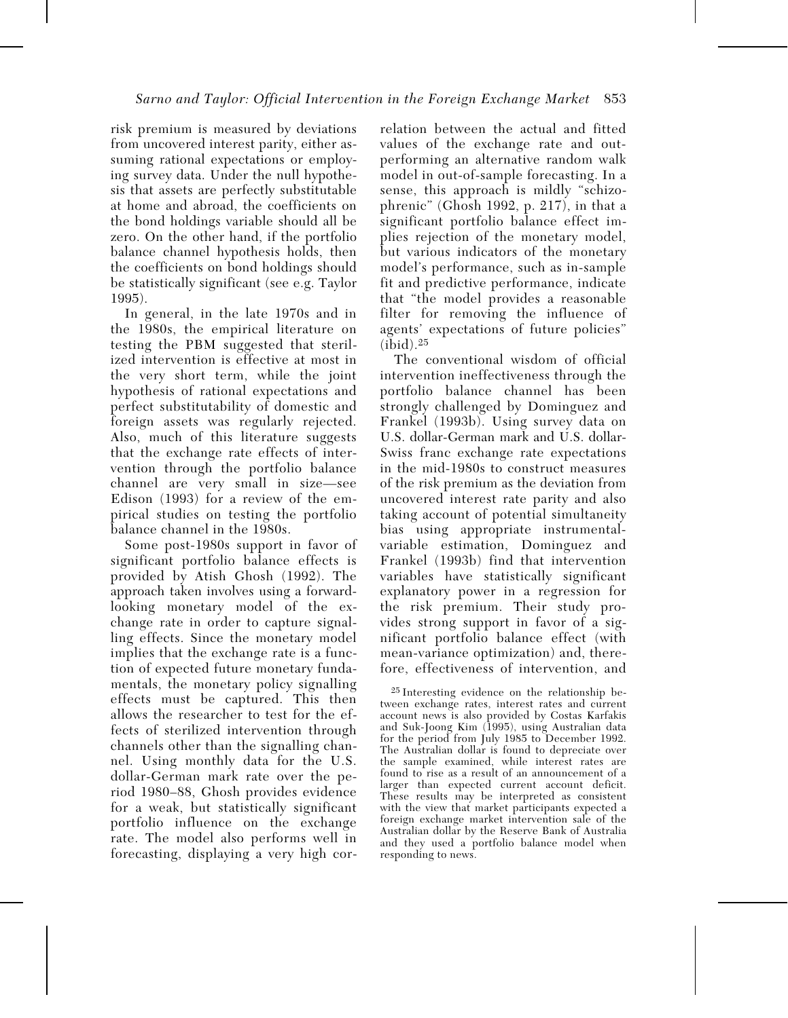risk premium is measured by deviations from uncovered interest parity, either assuming rational expectations or employing survey data. Under the null hypothesis that assets are perfectly substitutable at home and abroad, the coefficients on the bond holdings variable should all be zero. On the other hand, if the portfolio balance channel hypothesis holds, then the coefficients on bond holdings should be statistically significant (see e.g. Taylor 1995).

In general, in the late 1970s and in the 1980s, the empirical literature on testing the PBM suggested that sterilized intervention is effective at most in the very short term, while the joint hypothesis of rational expectations and perfect substitutability of domestic and foreign assets was regularly rejected. Also, much of this literature suggests that the exchange rate effects of intervention through the portfolio balance channel are very small in size—see Edison (1993) for a review of the empirical studies on testing the portfolio balance channel in the 1980s.

Some post-1980s support in favor of significant portfolio balance effects is provided by Atish Ghosh (1992). The approach taken involves using a forwardlooking monetary model of the exchange rate in order to capture signalling effects. Since the monetary model implies that the exchange rate is a function of expected future monetary fundamentals, the monetary policy signalling effects must be captured. This then allows the researcher to test for the effects of sterilized intervention through channels other than the signalling channel. Using monthly data for the U.S. dollar-German mark rate over the period 1980–88, Ghosh provides evidence for a weak, but statistically significant portfolio influence on the exchange rate. The model also performs well in forecasting, displaying a very high correlation between the actual and fitted values of the exchange rate and outperforming an alternative random walk model in out-of-sample forecasting. In a sense, this approach is mildly "schizophrenic" (Ghosh 1992, p. 217), in that a significant portfolio balance effect implies rejection of the monetary model, but various indicators of the monetary model's performance, such as in-sample fit and predictive performance, indicate that "the model provides a reasonable filter for removing the influence of agents' expectations of future policies" (ibid).25

The conventional wisdom of official intervention ineffectiveness through the portfolio balance channel has been strongly challenged by Dominguez and Frankel (1993b). Using survey data on U.S. dollar-German mark and U.S. dollar-Swiss franc exchange rate expectations in the mid-1980s to construct measures of the risk premium as the deviation from uncovered interest rate parity and also taking account of potential simultaneity bias using appropriate instrumentalvariable estimation, Dominguez and Frankel (1993b) find that intervention variables have statistically significant explanatory power in a regression for the risk premium. Their study provides strong support in favor of a significant portfolio balance effect (with mean-variance optimization) and, therefore, effectiveness of intervention, and

25 Interesting evidence on the relationship between exchange rates, interest rates and current account news is also provided by Costas Karfakis and Suk-Joong Kim (1995), using Australian data for the period from July 1985 to December 1992. The Australian dollar is found to depreciate over the sample examined, while interest rates are found to rise as a result of an announcement of a larger than expected current account deficit. These results may be interpreted as consistent with the view that market participants expected a foreign exchange market intervention sale of the Australian dollar by the Reserve Bank of Australia and they used a portfolio balance model when responding to news.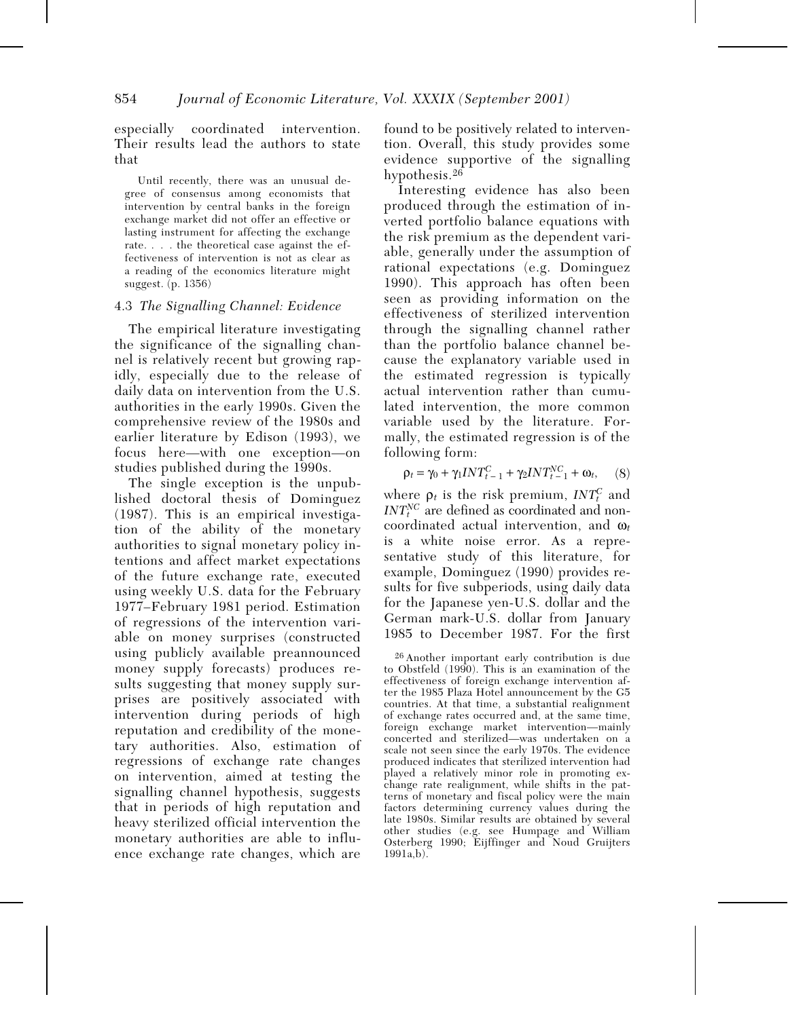especially coordinated intervention. Their results lead the authors to state that

Until recently, there was an unusual degree of consensus among economists that intervention by central banks in the foreign exchange market did not offer an effective or lasting instrument for affecting the exchange rate. . . . the theoretical case against the effectiveness of intervention is not as clear as a reading of the economics literature might suggest. (p. 1356)

#### 4.3 *The Signalling Channel: Evidence*

The empirical literature investigating the significance of the signalling channel is relatively recent but growing rapidly, especially due to the release of daily data on intervention from the U.S. authorities in the early 1990s. Given the comprehensive review of the 1980s and earlier literature by Edison (1993), we focus here—with one exception—on studies published during the 1990s.

The single exception is the unpublished doctoral thesis of Dominguez (1987). This is an empirical investigation of the ability of the monetary authorities to signal monetary policy intentions and affect market expectations of the future exchange rate, executed using weekly U.S. data for the February 1977–February 1981 period. Estimation of regressions of the intervention variable on money surprises (constructed using publicly available preannounced money supply forecasts) produces results suggesting that money supply surprises are positively associated with intervention during periods of high reputation and credibility of the monetary authorities. Also, estimation of regressions of exchange rate changes on intervention, aimed at testing the signalling channel hypothesis, suggests that in periods of high reputation and heavy sterilized official intervention the monetary authorities are able to influence exchange rate changes, which are

found to be positively related to intervention. Overall, this study provides some evidence supportive of the signalling hypothesis.26

Interesting evidence has also been produced through the estimation of inverted portfolio balance equations with the risk premium as the dependent variable, generally under the assumption of rational expectations (e.g. Dominguez 1990). This approach has often been seen as providing information on the effectiveness of sterilized intervention through the signalling channel rather than the portfolio balance channel because the explanatory variable used in the estimated regression is typically actual intervention rather than cumulated intervention, the more common variable used by the literature. Formally, the estimated regression is of the following form:

$$
\rho_t = \gamma_0 + \gamma_1 INT_{t-1}^C + \gamma_2 INT_{t-1}^{NC} + \omega_t, \quad (8)
$$

where  $\rho_t$  is the risk premium,  $INT_{t}^{C}$  and  $INT_t^{NC}$  are defined as coordinated and noncoordinated actual intervention, and ω*<sup>t</sup>* is a white noise error. As a representative study of this literature, for example, Dominguez (1990) provides results for five subperiods, using daily data for the Japanese yen-U.S. dollar and the German mark-U.S. dollar from January 1985 to December 1987. For the first

26 Another important early contribution is due to Obstfeld (1990). This is an examination of the effectiveness of foreign exchange intervention after the 1985 Plaza Hotel announcement by the G5 countries. At that time, a substantial realignment of exchange rates occurred and, at the same time, foreign exchange market intervention—mainly concerted and sterilized—was undertaken on a scale not seen since the early 1970s. The evidence produced indicates that sterilized intervention had played a relatively minor role in promoting exchange rate realignment, while shifts in the patterns of monetary and fiscal policy were the main factors determining currency values during the late 1980s. Similar results are obtained by several other studies (e.g. see Humpage and William Osterberg 1990; Eijffinger and Noud Gruijters  $1991a,b)$ .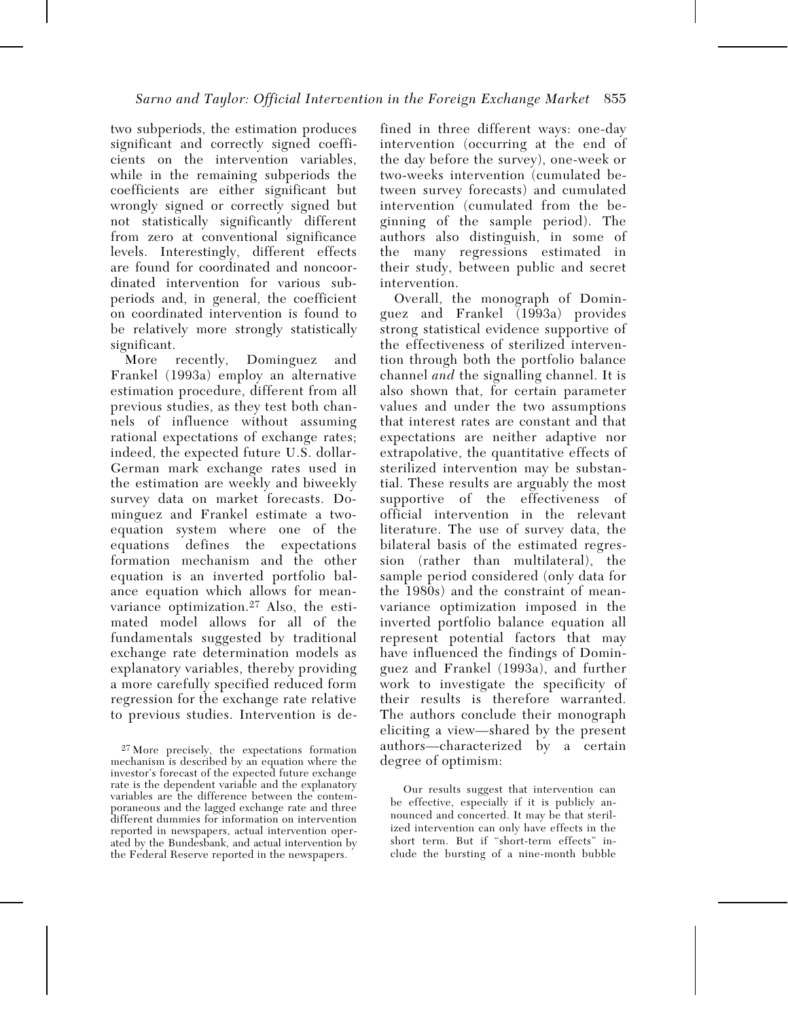two subperiods, the estimation produces significant and correctly signed coefficients on the intervention variables, while in the remaining subperiods the coefficients are either significant but wrongly signed or correctly signed but not statistically significantly different from zero at conventional significance levels. Interestingly, different effects are found for coordinated and noncoordinated intervention for various subperiods and, in general, the coefficient on coordinated intervention is found to be relatively more strongly statistically significant.

More recently, Dominguez and Frankel (1993a) employ an alternative estimation procedure, different from all previous studies, as they test both channels of influence without assuming rational expectations of exchange rates; indeed, the expected future U.S. dollar-German mark exchange rates used in the estimation are weekly and biweekly survey data on market forecasts. Dominguez and Frankel estimate a twoequation system where one of the equations defines the expectations formation mechanism and the other equation is an inverted portfolio balance equation which allows for meanvariance optimization.27 Also, the estimated model allows for all of the fundamentals suggested by traditional exchange rate determination models as explanatory variables, thereby providing a more carefully specified reduced form regression for the exchange rate relative to previous studies. Intervention is de-

27 More precisely, the expectations formation mechanism is described by an equation where the investor's forecast of the expected future exchange rate is the dependent variable and the explanatory variables are the difference between the contemporaneous and the lagged exchange rate and three different dummies for information on intervention reported in newspapers, actual intervention operated by the Bundesbank, and actual intervention by the Federal Reserve reported in the newspapers.

fined in three different ways: one-day intervention (occurring at the end of the day before the survey), one-week or two-weeks intervention (cumulated between survey forecasts) and cumulated intervention (cumulated from the beginning of the sample period). The authors also distinguish, in some of the many regressions estimated in their study, between public and secret intervention.

Overall, the monograph of Dominguez and Frankel (1993a) provides strong statistical evidence supportive of the effectiveness of sterilized intervention through both the portfolio balance channel *and* the signalling channel. It is also shown that, for certain parameter values and under the two assumptions that interest rates are constant and that expectations are neither adaptive nor extrapolative, the quantitative effects of sterilized intervention may be substantial. These results are arguably the most supportive of the effectiveness of official intervention in the relevant literature. The use of survey data, the bilateral basis of the estimated regression (rather than multilateral), the sample period considered (only data for the 1980s) and the constraint of meanvariance optimization imposed in the inverted portfolio balance equation all represent potential factors that may have influenced the findings of Dominguez and Frankel (1993a), and further work to investigate the specificity of their results is therefore warranted. The authors conclude their monograph eliciting a view—shared by the present authors—characterized by a certain degree of optimism:

Our results suggest that intervention can be effective, especially if it is publicly announced and concerted. It may be that sterilized intervention can only have effects in the short term. But if "short-term effects" include the bursting of a nine-month bubble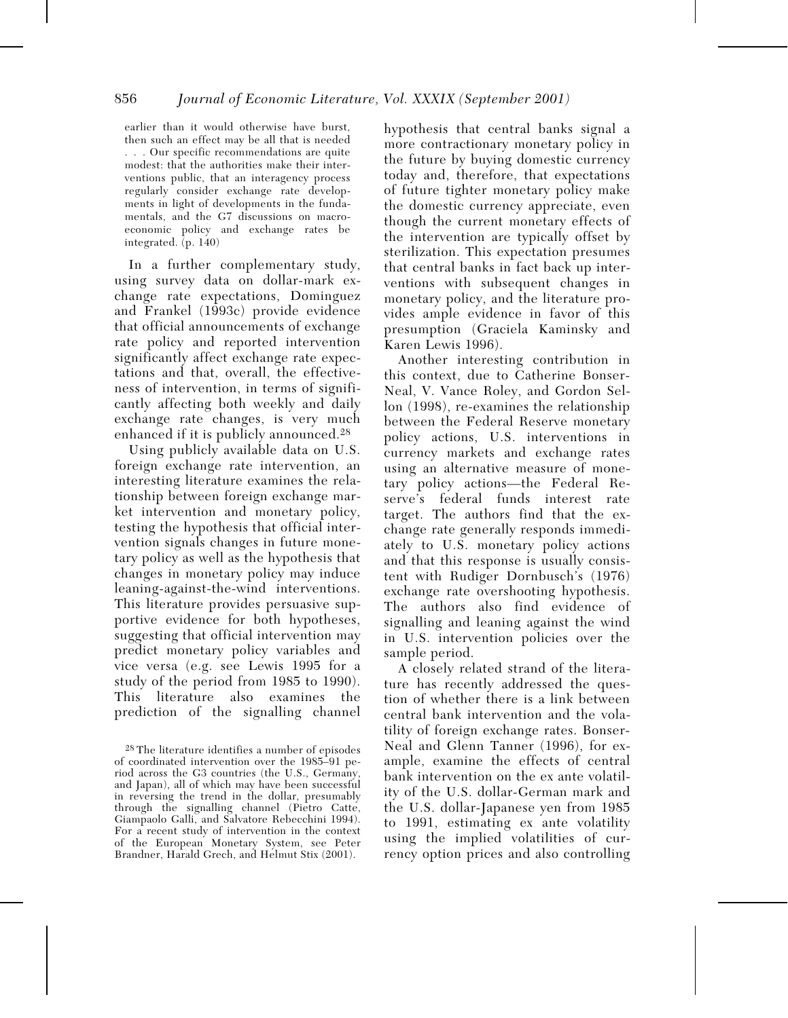earlier than it would otherwise have burst, then such an effect may be all that is needed . . . Our specific recommendations are quite modest: that the authorities make their interventions public, that an interagency process regularly consider exchange rate developments in light of developments in the fundamentals, and the G7 discussions on macroeconomic policy and exchange rates be integrated. (p. 140)

In a further complementary study, using survey data on dollar-mark exchange rate expectations, Dominguez and Frankel (1993c) provide evidence that official announcements of exchange rate policy and reported intervention significantly affect exchange rate expectations and that, overall, the effectiveness of intervention, in terms of significantly affecting both weekly and daily exchange rate changes, is very much enhanced if it is publicly announced.28

Using publicly available data on U.S. foreign exchange rate intervention, an interesting literature examines the relationship between foreign exchange market intervention and monetary policy, testing the hypothesis that official intervention signals changes in future monetary policy as well as the hypothesis that changes in monetary policy may induce leaning-against-the-wind interventions. This literature provides persuasive supportive evidence for both hypotheses, suggesting that official intervention may predict monetary policy variables and vice versa (e.g. see Lewis 1995 for a study of the period from 1985 to 1990). This literature also examines the prediction of the signalling channel

hypothesis that central banks signal a more contractionary monetary policy in the future by buying domestic currency today and, therefore, that expectations of future tighter monetary policy make the domestic currency appreciate, even though the current monetary effects of the intervention are typically offset by sterilization. This expectation presumes that central banks in fact back up interventions with subsequent changes in monetary policy, and the literature provides ample evidence in favor of this presumption (Graciela Kaminsky and Karen Lewis 1996).

Another interesting contribution in this context, due to Catherine Bonser-Neal, V. Vance Roley, and Gordon Sellon (1998), re-examines the relationship between the Federal Reserve monetary policy actions, U.S. interventions in currency markets and exchange rates using an alternative measure of monetary policy actions—the Federal Reserve's federal funds interest rate target. The authors find that the exchange rate generally responds immediately to U.S. monetary policy actions and that this response is usually consistent with Rudiger Dornbusch's (1976) exchange rate overshooting hypothesis. The authors also find evidence of signalling and leaning against the wind in U.S. intervention policies over the sample period.

A closely related strand of the literature has recently addressed the question of whether there is a link between central bank intervention and the volatility of foreign exchange rates. Bonser-Neal and Glenn Tanner (1996), for example, examine the effects of central bank intervention on the ex ante volatility of the U.S. dollar-German mark and the U.S. dollar-Japanese yen from 1985 to 1991, estimating ex ante volatility using the implied volatilities of currency option prices and also controlling

<sup>28</sup> The literature identifies a number of episodes of coordinated intervention over the 1985–91 period across the G3 countries (the U.S., Germany, and Japan), all of which may have been successful in reversing the trend in the dollar, presumably through the signalling channel (Pietro Catte, Giampaolo Galli, and Salvatore Rebecchini 1994). For a recent study of intervention in the context of the European Monetary System, see Peter Brandner, Harald Grech, and Helmut Stix (2001).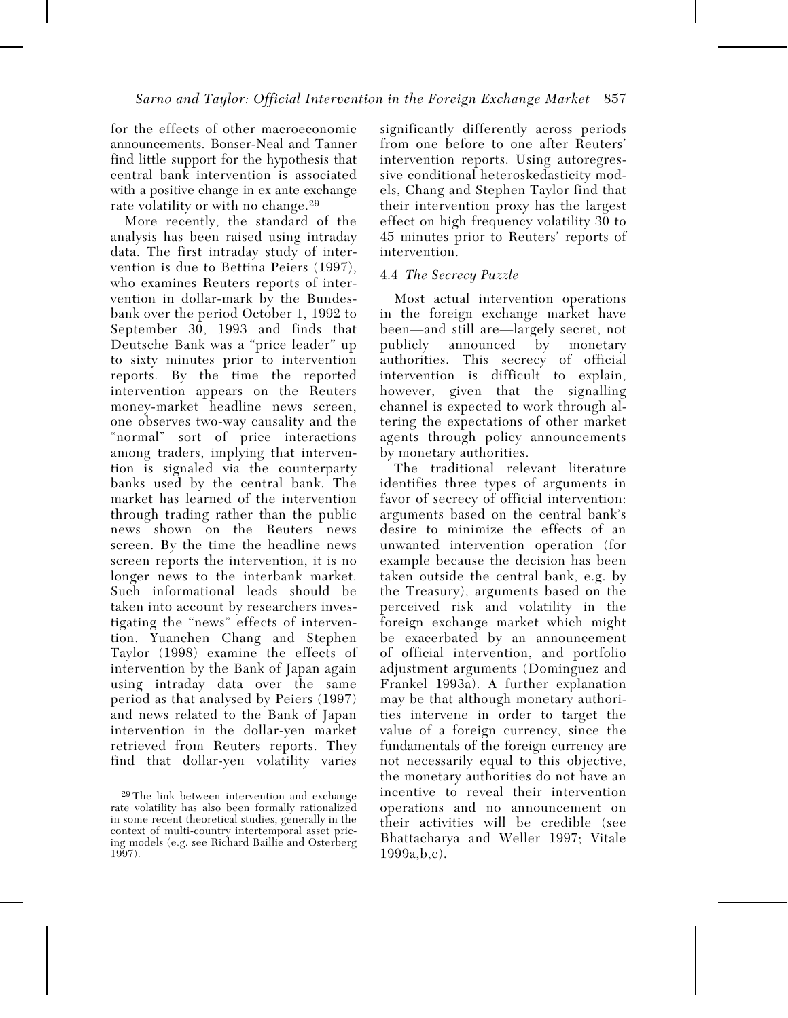for the effects of other macroeconomic announcements. Bonser-Neal and Tanner find little support for the hypothesis that central bank intervention is associated with a positive change in ex ante exchange rate volatility or with no change.29

More recently, the standard of the analysis has been raised using intraday data. The first intraday study of intervention is due to Bettina Peiers (1997), who examines Reuters reports of intervention in dollar-mark by the Bundesbank over the period October 1, 1992 to September 30, 1993 and finds that Deutsche Bank was a "price leader" up to sixty minutes prior to intervention reports. By the time the reported intervention appears on the Reuters money-market headline news screen, one observes two-way causality and the "normal" sort of price interactions among traders, implying that intervention is signaled via the counterparty banks used by the central bank. The market has learned of the intervention through trading rather than the public news shown on the Reuters news screen. By the time the headline news screen reports the intervention, it is no longer news to the interbank market. Such informational leads should be taken into account by researchers investigating the "news" effects of intervention. Yuanchen Chang and Stephen Taylor (1998) examine the effects of intervention by the Bank of Japan again using intraday data over the same period as that analysed by Peiers (1997) and news related to the Bank of Japan intervention in the dollar-yen market retrieved from Reuters reports. They find that dollar-yen volatility varies

significantly differently across periods from one before to one after Reuters' intervention reports. Using autoregressive conditional heteroskedasticity models, Chang and Stephen Taylor find that their intervention proxy has the largest effect on high frequency volatility 30 to 45 minutes prior to Reuters' reports of intervention.

# 4.4 *The Secrecy Puzzle*

Most actual intervention operations in the foreign exchange market have been—and still are—largely secret, not publicly announced by monetary authorities. This secrecy of official intervention is difficult to explain, however, given that the signalling channel is expected to work through altering the expectations of other market agents through policy announcements by monetary authorities.

The traditional relevant literature identifies three types of arguments in favor of secrecy of official intervention: arguments based on the central bank's desire to minimize the effects of an unwanted intervention operation (for example because the decision has been taken outside the central bank, e.g. by the Treasury), arguments based on the perceived risk and volatility in the foreign exchange market which might be exacerbated by an announcement of official intervention, and portfolio adjustment arguments (Dominguez and Frankel 1993a). A further explanation may be that although monetary authorities intervene in order to target the value of a foreign currency, since the fundamentals of the foreign currency are not necessarily equal to this objective, the monetary authorities do not have an incentive to reveal their intervention operations and no announcement on their activities will be credible (see Bhattacharya and Weller 1997; Vitale  $1999a,b,c$ ).

<sup>29</sup> The link between intervention and exchange rate volatility has also been formally rationalized in some recent theoretical studies, generally in the context of multi-country intertemporal asset pricing models (e.g. see Richard Baillie and Osterberg 1997).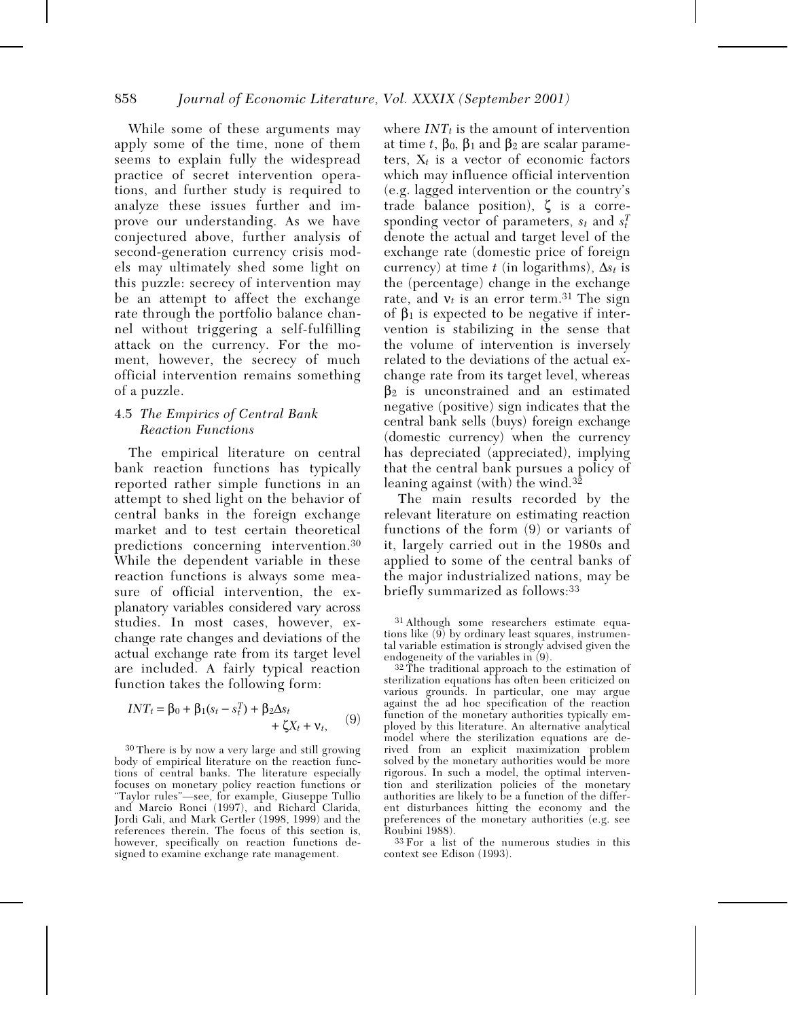While some of these arguments may apply some of the time, none of them seems to explain fully the widespread practice of secret intervention operations, and further study is required to analyze these issues further and improve our understanding. As we have conjectured above, further analysis of second-generation currency crisis models may ultimately shed some light on this puzzle: secrecy of intervention may be an attempt to affect the exchange rate through the portfolio balance channel without triggering a self-fulfilling attack on the currency. For the moment, however, the secrecy of much official intervention remains something of a puzzle.

#### 4.5 *The Empirics of Central Bank Reaction Functions*

The empirical literature on central bank reaction functions has typically reported rather simple functions in an attempt to shed light on the behavior of central banks in the foreign exchange market and to test certain theoretical predictions concerning intervention.30 While the dependent variable in these reaction functions is always some measure of official intervention, the explanatory variables considered vary across studies. In most cases, however, exchange rate changes and deviations of the actual exchange rate from its target level are included. A fairly typical reaction function takes the following form:

$$
INTt = \beta_0 + \beta_1(s_t - s_t^T) + \beta_2 \Delta s_t + \zeta X_t + \mathbf{v}_t,
$$
 (9)

30 There is by now a very large and still growing body of empirical literature on the reaction functions of central banks. The literature especially focuses on monetary policy reaction functions or "Taylor rules"—see, for example, Giuseppe Tullio and Marcio Ronci (1997), and Richard Clarida, Jordi Gali, and Mark Gertler (1998, 1999) and the references therein. The focus of this section is, however, specifically on reaction functions designed to examine exchange rate management.

where  $INT<sub>t</sub>$  is the amount of intervention at time *t*,  $β_0$ ,  $β_1$  and  $β_2$  are scalar parameters,  $X_t$  is a vector of economic factors which may influence official intervention (e.g. lagged intervention or the country's trade balance position), ζ is a corresponding vector of parameters,  $s_t$  and  $s_t^T$ denote the actual and target level of the exchange rate (domestic price of foreign currency) at time *t* (in logarithms),  $\Delta s_t$  is the (percentage) change in the exchange rate, and  $v_t$  is an error term.<sup>31</sup> The sign of  $β$ <sub>1</sub> is expected to be negative if intervention is stabilizing in the sense that the volume of intervention is inversely related to the deviations of the actual exchange rate from its target level, whereas  $\beta_2$  is unconstrained and an estimated negative (positive) sign indicates that the central bank sells (buys) foreign exchange (domestic currency) when the currency has depreciated (appreciated), implying that the central bank pursues a policy of leaning against (with) the wind.32

The main results recorded by the relevant literature on estimating reaction functions of the form (9) or variants of it, largely carried out in the 1980s and applied to some of the central banks of the major industrialized nations, may be briefly summarized as follows:33

31 Although some researchers estimate equations like  $(\overline{9})$  by ordinary least squares, instrumental variable estimation is strongly advised given the endogeneity of the variables in (9).

32 The traditional approach to the estimation of sterilization equations has often been criticized on various grounds. In particular, one may argue against the ad hoc specification of the reaction function of the monetary authorities typically employed by this literature. An alternative analytical model where the sterilization equations are derived from an explicit maximization problem solved by the monetary authorities would be more rigorous. In such a model, the optimal intervention and sterilization policies of the monetary authorities are likely to be a function of the different disturbances hitting the economy and the preferences of the monetary authorities (e.g. see Roubini 1988).

33 For a list of the numerous studies in this context see Edison (1993).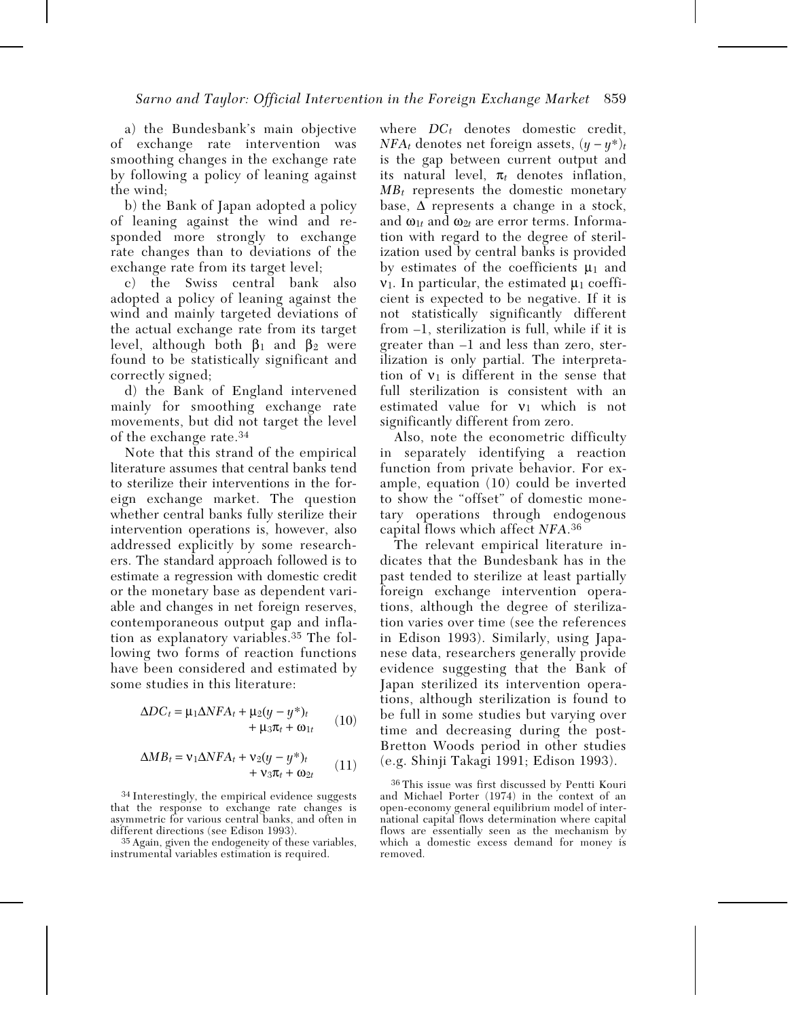a) the Bundesbank's main objective of exchange rate intervention was smoothing changes in the exchange rate by following a policy of leaning against the wind;

b) the Bank of Japan adopted a policy of leaning against the wind and responded more strongly to exchange rate changes than to deviations of the exchange rate from its target level;

c) the Swiss central bank also adopted a policy of leaning against the wind and mainly targeted deviations of the actual exchange rate from its target level, although both  $β_1$  and  $β_2$  were found to be statistically significant and correctly signed;

d) the Bank of England intervened mainly for smoothing exchange rate movements, but did not target the level of the exchange rate.34

Note that this strand of the empirical literature assumes that central banks tend to sterilize their interventions in the foreign exchange market. The question whether central banks fully sterilize their intervention operations is, however, also addressed explicitly by some researchers. The standard approach followed is to estimate a regression with domestic credit or the monetary base as dependent variable and changes in net foreign reserves, contemporaneous output gap and inflation as explanatory variables.35 The following two forms of reaction functions have been considered and estimated by some studies in this literature:

$$
\Delta DC_t = \mu_1 \Delta NFA_t + \mu_2 (y - y^*)_t + \mu_3 \pi_t + \omega_{1t} \qquad (10)
$$

$$
\Delta MB_t = \mathbf{v}_1 \Delta NFA_t + \mathbf{v}_2(y - y^*)_t + \mathbf{v}_3 \pi_t + \omega_{2t} \tag{11}
$$

34 Interestingly, the empirical evidence suggests that the response to exchange rate changes is asymmetric for various central banks, and often in different directions (see Edison 1993).

35 Again, given the endogeneity of these variables, instrumental variables estimation is required.

where  $DC_t$  denotes domestic credit, *NFA<sub>t</sub>* denotes net foreign assets,  $(y - y^*)$ *t* is the gap between current output and its natural level,  $\pi_t$  denotes inflation, *MBt* represents the domestic monetary base, ∆ represents a change in a stock, and  $\omega_{1t}$  and  $\omega_{2t}$  are error terms. Information with regard to the degree of sterilization used by central banks is provided by estimates of the coefficients  $\mu_1$  and  $v_1$ . In particular, the estimated  $\mu_1$  coefficient is expected to be negative. If it is not statistically significantly different from –1, sterilization is full, while if it is greater than –1 and less than zero, sterilization is only partial. The interpretation of  $v_1$  is different in the sense that full sterilization is consistent with an estimated value for  $v_1$  which is not significantly different from zero.

Also, note the econometric difficulty in separately identifying a reaction function from private behavior. For example, equation (10) could be inverted to show the "offset" of domestic monetary operations through endogenous capital flows which affect *NFA*.36

The relevant empirical literature indicates that the Bundesbank has in the past tended to sterilize at least partially foreign exchange intervention operations, although the degree of sterilization varies over time (see the references in Edison 1993). Similarly, using Japanese data, researchers generally provide evidence suggesting that the Bank of Japan sterilized its intervention operations, although sterilization is found to be full in some studies but varying over time and decreasing during the post-Bretton Woods period in other studies (e.g. Shinji Takagi 1991; Edison 1993).

36 This issue was first discussed by Pentti Kouri and Michael Porter (1974) in the context of an open-economy general equilibrium model of international capital flows determination where capital flows are essentially seen as the mechanism by which a domestic excess demand for money is removed.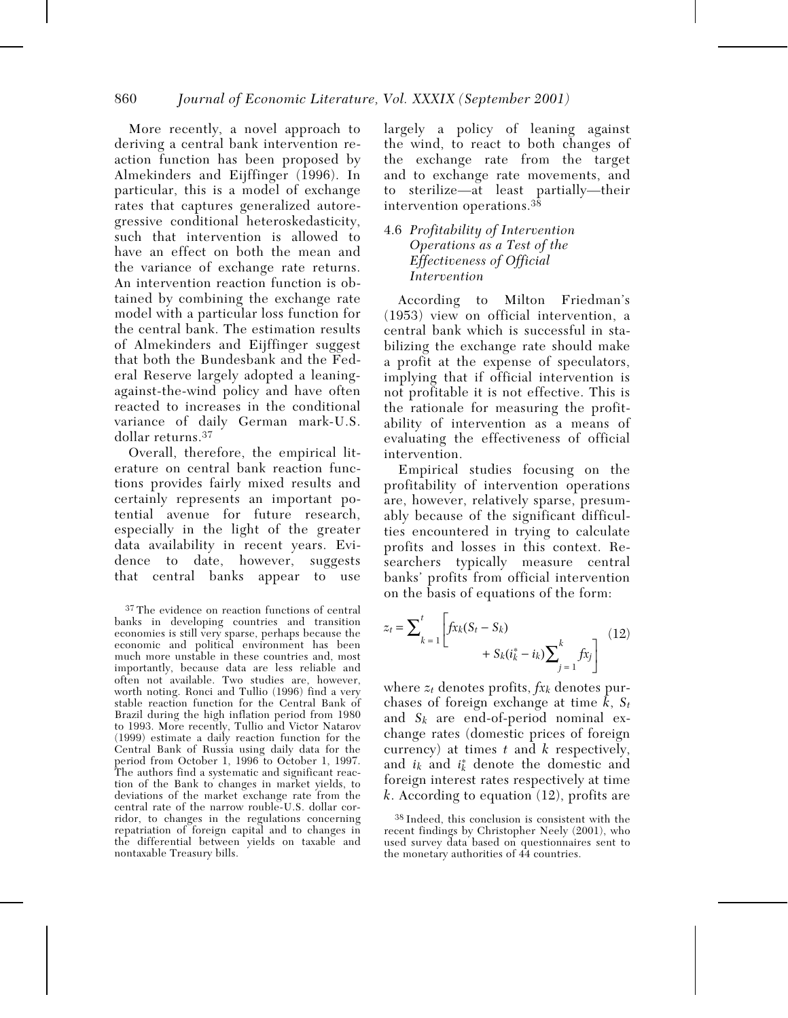More recently, a novel approach to deriving a central bank intervention reaction function has been proposed by Almekinders and Eijffinger (1996). In particular, this is a model of exchange rates that captures generalized autoregressive conditional heteroskedasticity, such that intervention is allowed to have an effect on both the mean and the variance of exchange rate returns. An intervention reaction function is obtained by combining the exchange rate model with a particular loss function for the central bank. The estimation results of Almekinders and Eijffinger suggest that both the Bundesbank and the Federal Reserve largely adopted a leaningagainst-the-wind policy and have often reacted to increases in the conditional variance of daily German mark-U.S. dollar returns.37

Overall, therefore, the empirical literature on central bank reaction functions provides fairly mixed results and certainly represents an important potential avenue for future research, especially in the light of the greater data availability in recent years. Evidence to date, however, suggests that central banks appear to use

37 The evidence on reaction functions of central banks in developing countries and transition economies is still very sparse, perhaps because the economic and political environment has been much more unstable in these countries and, most importantly, because data are less reliable and often not available. Two studies are, however, worth noting. Ronci and Tullio (1996) find a very stable reaction function for the Central Bank of Brazil during the high inflation period from 1980 to 1993. More recently, Tullio and Victor Natarov (1999) estimate a daily reaction function for the Central Bank of Russia using daily data for the period from October 1, 1996 to October 1, 1997. The authors find a systematic and significant reaction of the Bank to changes in market yields, to deviations of the market exchange rate from the central rate of the narrow rouble-U.S. dollar corridor, to changes in the regulations concerning repatriation of foreign capital and to changes in the differential between yields on taxable and nontaxable Treasury bills.

largely a policy of leaning against the wind, to react to both changes of the exchange rate from the target and to exchange rate movements, and to sterilize—at least partially—their intervention operations.38

#### 4.6 *Profitability of Intervention Operations as a Test of the Effectiveness of Official Intervention*

According to Milton Friedman's (1953) view on official intervention, a central bank which is successful in stabilizing the exchange rate should make a profit at the expense of speculators, implying that if official intervention is not profitable it is not effective. This is the rationale for measuring the profitability of intervention as a means of evaluating the effectiveness of official intervention.

Empirical studies focusing on the profitability of intervention operations are, however, relatively sparse, presumably because of the significant difficulties encountered in trying to calculate profits and losses in this context. Researchers typically measure central banks' profits from official intervention on the basis of equations of the form:

$$
z_{t} = \sum_{k=1}^{t} \left[ fx_{k}(S_{t} - S_{k}) + S_{k}(i_{k}^{*} - i_{k}) \sum_{j=1}^{k} fx_{j} \right] (12)
$$

where *zt* denotes profits, *fxk* denotes purchases of foreign exchange at time *k*, *St* and *Sk* are end-of-period nominal exchange rates (domestic prices of foreign currency) at times *t* and *k* respectively, and *i<sub>k</sub>* and *i*<sub>*k*</sub><sup>*i*</sup> denote the domestic and foreign interest rates respectively at time *k*. According to equation (12), profits are

<sup>38</sup> Indeed, this conclusion is consistent with the recent findings by Christopher Neely (2001), who used survey data based on questionnaires sent to the monetary authorities of 44 countries.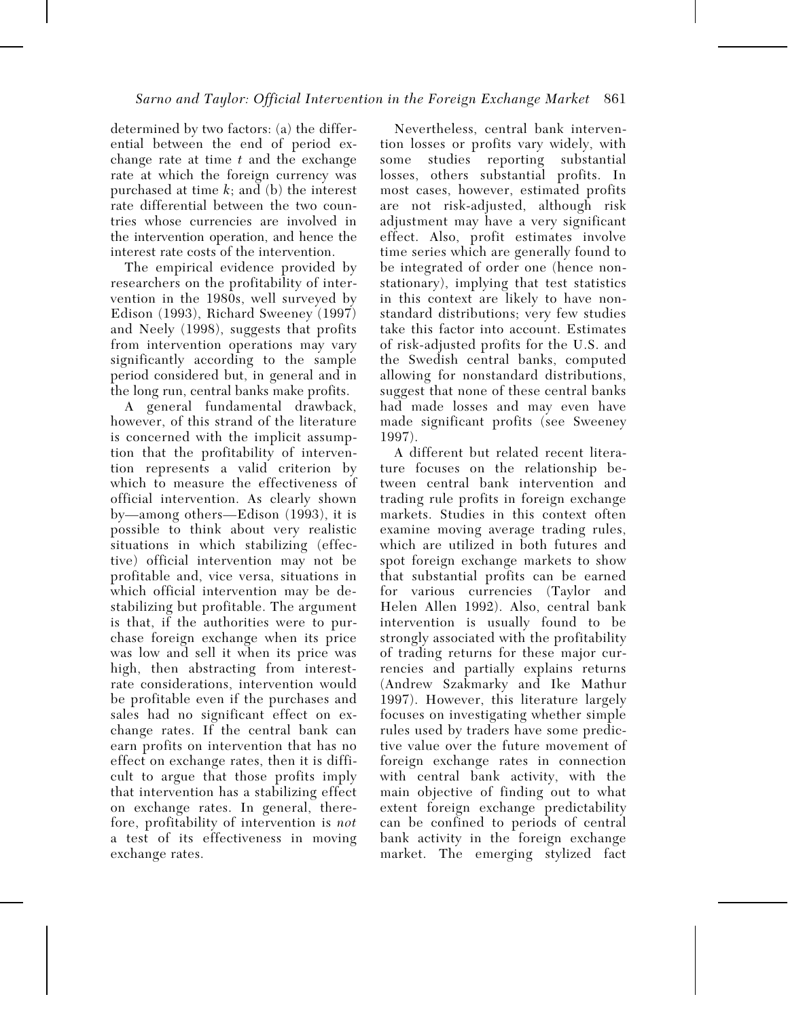determined by two factors: (a) the differential between the end of period exchange rate at time *t* and the exchange rate at which the foreign currency was purchased at time *k*; and (b) the interest rate differential between the two countries whose currencies are involved in the intervention operation, and hence the interest rate costs of the intervention.

The empirical evidence provided by researchers on the profitability of intervention in the 1980s, well surveyed by Edison (1993), Richard Sweeney (1997) and Neely (1998), suggests that profits from intervention operations may vary significantly according to the sample period considered but, in general and in the long run, central banks make profits.

A general fundamental drawback, however, of this strand of the literature is concerned with the implicit assumption that the profitability of intervention represents a valid criterion by which to measure the effectiveness of official intervention. As clearly shown by—among others—Edison (1993), it is possible to think about very realistic situations in which stabilizing (effective) official intervention may not be profitable and, vice versa, situations in which official intervention may be destabilizing but profitable. The argument is that, if the authorities were to purchase foreign exchange when its price was low and sell it when its price was high, then abstracting from interestrate considerations, intervention would be profitable even if the purchases and sales had no significant effect on exchange rates. If the central bank can earn profits on intervention that has no effect on exchange rates, then it is difficult to argue that those profits imply that intervention has a stabilizing effect on exchange rates. In general, therefore, profitability of intervention is *not* a test of its effectiveness in moving exchange rates.

Nevertheless, central bank intervention losses or profits vary widely, with some studies reporting substantial losses, others substantial profits. In most cases, however, estimated profits are not risk-adjusted, although risk adjustment may have a very significant effect. Also, profit estimates involve time series which are generally found to be integrated of order one (hence nonstationary), implying that test statistics in this context are likely to have nonstandard distributions; very few studies take this factor into account. Estimates of risk-adjusted profits for the U.S. and the Swedish central banks, computed allowing for nonstandard distributions, suggest that none of these central banks had made losses and may even have made significant profits (see Sweeney 1997).

A different but related recent literature focuses on the relationship between central bank intervention and trading rule profits in foreign exchange markets. Studies in this context often examine moving average trading rules, which are utilized in both futures and spot foreign exchange markets to show that substantial profits can be earned for various currencies (Taylor and Helen Allen 1992). Also, central bank intervention is usually found to be strongly associated with the profitability of trading returns for these major currencies and partially explains returns (Andrew Szakmarky and Ike Mathur 1997). However, this literature largely focuses on investigating whether simple rules used by traders have some predictive value over the future movement of foreign exchange rates in connection with central bank activity, with the main objective of finding out to what extent foreign exchange predictability can be confined to periods of central bank activity in the foreign exchange market. The emerging stylized fact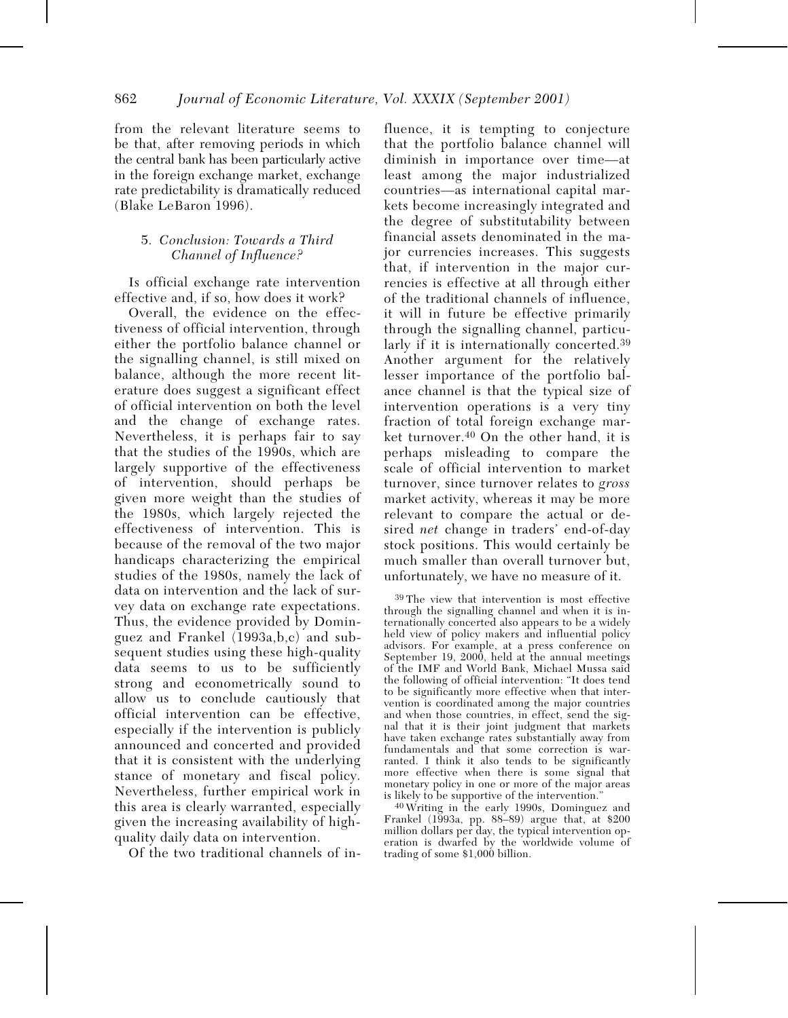from the relevant literature seems to be that, after removing periods in which the central bank has been particularly active in the foreign exchange market, exchange rate predictability is dramatically reduced (Blake LeBaron 1996).

## 5. *Conclusion: Towards a Third Channel of Influence?*

Is official exchange rate intervention effective and, if so, how does it work?

Overall, the evidence on the effectiveness of official intervention, through either the portfolio balance channel or the signalling channel, is still mixed on balance, although the more recent literature does suggest a significant effect of official intervention on both the level and the change of exchange rates. Nevertheless, it is perhaps fair to say that the studies of the 1990s, which are largely supportive of the effectiveness of intervention, should perhaps be given more weight than the studies of the 1980s, which largely rejected the effectiveness of intervention. This is because of the removal of the two major handicaps characterizing the empirical studies of the 1980s, namely the lack of data on intervention and the lack of survey data on exchange rate expectations. Thus, the evidence provided by Dominguez and Frankel (1993a,b,c) and subsequent studies using these high-quality data seems to us to be sufficiently strong and econometrically sound to allow us to conclude cautiously that official intervention can be effective, especially if the intervention is publicly announced and concerted and provided that it is consistent with the underlying stance of monetary and fiscal policy. Nevertheless, further empirical work in this area is clearly warranted, especially given the increasing availability of highquality daily data on intervention.

Of the two traditional channels of in-

fluence, it is tempting to conjecture that the portfolio balance channel will diminish in importance over time—at least among the major industrialized countries—as international capital markets become increasingly integrated and the degree of substitutability between financial assets denominated in the major currencies increases. This suggests that, if intervention in the major currencies is effective at all through either of the traditional channels of influence, it will in future be effective primarily through the signalling channel, particularly if it is internationally concerted.<sup>39</sup> Another argument for the relatively lesser importance of the portfolio balance channel is that the typical size of intervention operations is a very tiny fraction of total foreign exchange market turnover.40 On the other hand, it is perhaps misleading to compare the scale of official intervention to market turnover, since turnover relates to *gross* market activity, whereas it may be more relevant to compare the actual or desired *net* change in traders' end-of-day stock positions. This would certainly be much smaller than overall turnover but, unfortunately, we have no measure of it.

39 The view that intervention is most effective through the signalling channel and when it is internationally concerted also appears to be a widely held view of policy makers and influential policy advisors. For example, at a press conference on September 19, 2000, held at the annual meetings of the IMF and World Bank, Michael Mussa said the following of official intervention: "It does tend to be significantly more effective when that intervention is coordinated among the major countries and when those countries, in effect, send the signal that it is their joint judgment that markets have taken exchange rates substantially away from fundamentals and that some correction is warranted. I think it also tends to be significantly more effective when there is some signal that monetary policy in one or more of the major areas is likely to be supportive of the intervention."

40 Writing in the early 1990s, Dominguez and Frankel (1993a, pp. 88–89) argue that, at \$200 million dollars per day, the typical intervention operation is dwarfed by the worldwide volume of trading of some \$1,000 billion.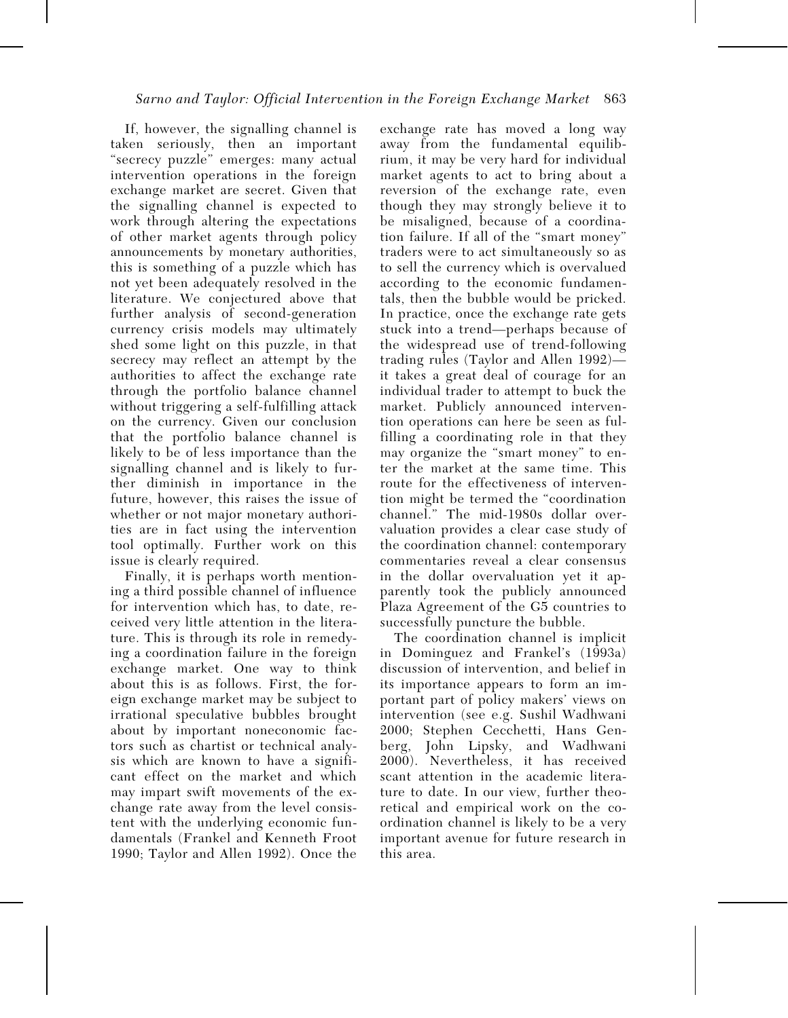If, however, the signalling channel is taken seriously, then an important "secrecy puzzle" emerges: many actual intervention operations in the foreign exchange market are secret. Given that the signalling channel is expected to work through altering the expectations of other market agents through policy announcements by monetary authorities, this is something of a puzzle which has not yet been adequately resolved in the literature. We conjectured above that further analysis of second-generation currency crisis models may ultimately shed some light on this puzzle, in that secrecy may reflect an attempt by the authorities to affect the exchange rate through the portfolio balance channel without triggering a self-fulfilling attack on the currency. Given our conclusion that the portfolio balance channel is likely to be of less importance than the signalling channel and is likely to further diminish in importance in the future, however, this raises the issue of whether or not major monetary authorities are in fact using the intervention tool optimally. Further work on this issue is clearly required.

Finally, it is perhaps worth mentioning a third possible channel of influence for intervention which has, to date, received very little attention in the literature. This is through its role in remedying a coordination failure in the foreign exchange market. One way to think about this is as follows. First, the foreign exchange market may be subject to irrational speculative bubbles brought about by important noneconomic factors such as chartist or technical analysis which are known to have a significant effect on the market and which may impart swift movements of the exchange rate away from the level consistent with the underlying economic fundamentals (Frankel and Kenneth Froot 1990; Taylor and Allen 1992). Once the

exchange rate has moved a long way away from the fundamental equilibrium, it may be very hard for individual market agents to act to bring about a reversion of the exchange rate, even though they may strongly believe it to be misaligned, because of a coordination failure. If all of the "smart money" traders were to act simultaneously so as to sell the currency which is overvalued according to the economic fundamentals, then the bubble would be pricked. In practice, once the exchange rate gets stuck into a trend—perhaps because of the widespread use of trend-following trading rules (Taylor and Allen 1992) it takes a great deal of courage for an individual trader to attempt to buck the market. Publicly announced intervention operations can here be seen as fulfilling a coordinating role in that they may organize the "smart money" to enter the market at the same time. This route for the effectiveness of intervention might be termed the "coordination channel." The mid-1980s dollar overvaluation provides a clear case study of the coordination channel: contemporary commentaries reveal a clear consensus in the dollar overvaluation yet it apparently took the publicly announced Plaza Agreement of the G5 countries to successfully puncture the bubble.

The coordination channel is implicit in Dominguez and Frankel's (1993a) discussion of intervention, and belief in its importance appears to form an important part of policy makers' views on intervention (see e.g. Sushil Wadhwani 2000; Stephen Cecchetti, Hans Genberg, John Lipsky, and Wadhwani 2000). Nevertheless, it has received scant attention in the academic literature to date. In our view, further theoretical and empirical work on the coordination channel is likely to be a very important avenue for future research in this area.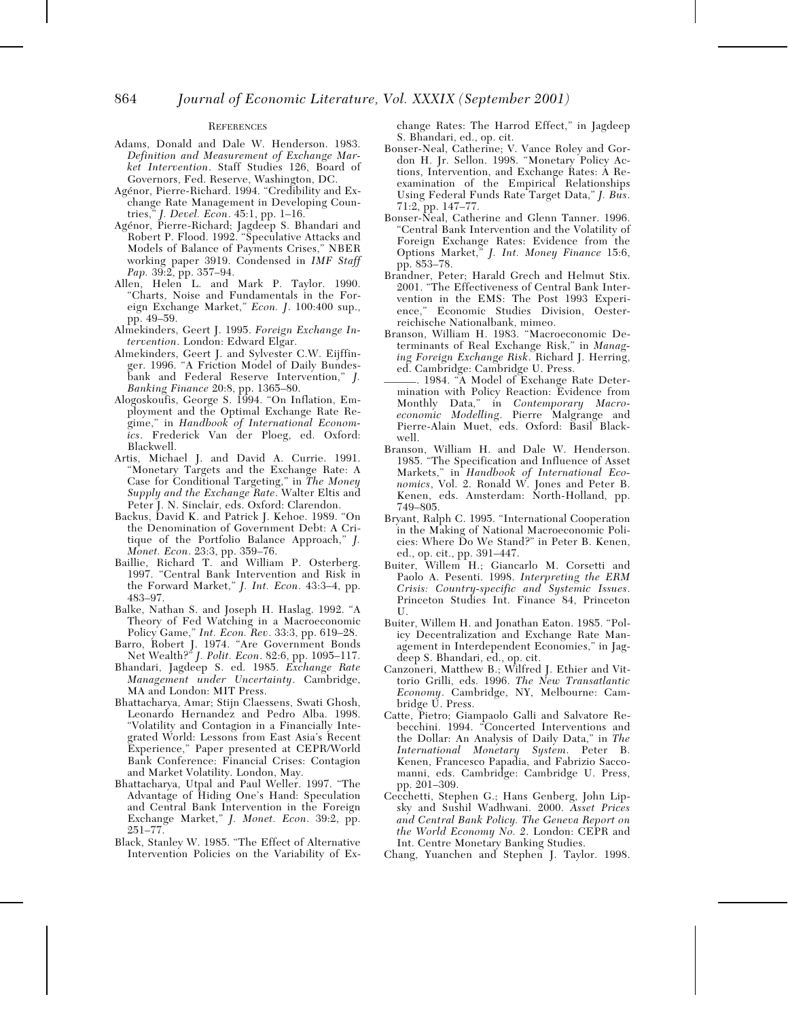#### **REFERENCES**

- Adams, Donald and Dale W. Henderson. 1983. *Definition and Measurement of Exchange Market Intervention*. Staff Studies 126, Board of Governors, Fed. Reserve, Washington, DC.
- Agénor, Pierre-Richard. 1994. "Credibility and Exchange Rate Management in Developing Countries," *J. Devel. Econ*. 45:1, pp. 1–16.
- Agénor, Pierre-Richard; Jagdeep S. Bhandari and Robert P. Flood. 1992. "Speculative Attacks and Models of Balance of Payments Crises," NBER working paper 3919. Condensed in *IMF Staff Pap.* 39:2, pp. 357–94.
- Allen, Helen L. and Mark P. Taylor. 1990. "Charts, Noise and Fundamentals in the Foreign Exchange Market," *Econ. J*. 100:400 sup., pp. 49–59.
- Almekinders, Geert J. 1995. *Foreign Exchange Intervention*. London: Edward Elgar.
- Almekinders, Geert J. and Sylvester C.W. Eijffinger. 1996. "A Friction Model of Daily Bundesbank and Federal Reserve Intervention," *J. Banking Finance* 20:8, pp. 1365–80.
- Alogoskoufis, George S. 1994. "On Inflation, Employment and the Optimal Exchange Rate Regime," in *Handbook of International Economics*. Frederick Van der Ploeg, ed. Oxford: Blackwell.
- Artis, Michael J. and David A. Currie. 1991. "Monetary Targets and the Exchange Rate: A Case for Conditional Targeting," in *The Money Supply and the Exchange Rate*. Walter Eltis and Peter J. N. Sinclair, eds. Oxford: Clarendon.
- Backus, David K. and Patrick J. Kehoe. 1989. "On the Denomination of Government Debt: A Critique of the Portfolio Balance Approach," *J. Monet. Econ*. 23:3, pp. 359–76.
- Baillie, Richard T. and William P. Osterberg. 1997. "Central Bank Intervention and Risk in the Forward Market," *J. Int. Econ*. 43:3–4, pp. 483–97.
- Balke, Nathan S. and Joseph H. Haslag. 1992. "A Theory of Fed Watching in a Macroeconomic Policy Game," *Int. Econ. Rev*. 33:3, pp. 619–28.
- Barro, Robert J. 1974. "Are Government Bonds Net Wealth?" *J. Polit. Econ*. 82:6, pp. 1095–117.
- Bhandari, Jagdeep S. ed. 1985. *Exchange Rate Management under Uncertainty*. Cambridge, MA and London: MIT Press.
- Bhattacharya, Amar; Stijn Claessens, Swati Ghosh, Leonardo Hernandez and Pedro Alba. 1998. "Volatility and Contagion in a Financially Integrated World: Lessons from East Asia's Recent Experience," Paper presented at CEPR/World Bank Conference: Financial Crises: Contagion and Market Volatility. London, May.
- Bhattacharya, Utpal and Paul Weller. 1997. "The Advantage of Hiding One's Hand: Speculation and Central Bank Intervention in the Foreign Exchange Market," *J. Monet. Econ*. 39:2, pp. 251–77.
- Black, Stanley W. 1985. "The Effect of Alternative Intervention Policies on the Variability of Ex-

change Rates: The Harrod Effect," in Jagdeep S. Bhandari, ed., op. cit.

- Bonser-Neal, Catherine; V. Vance Roley and Gordon H. Jr. Sellon. 1998. "Monetary Policy Actions, Intervention, and Exchange Rates: A Reexamination of the Empirical Relationships Using Federal Funds Rate Target Data," *J. Bus*. 71:2, pp. 147–77.
- Bonser-Neal, Catherine and Glenn Tanner. 1996. "Central Bank Intervention and the Volatility of Foreign Exchange Rates: Evidence from the Options Market," *J. Int. Money Finance* 15:6, pp. 853–78.
- Brandner, Peter; Harald Grech and Helmut Stix. 2001. "The Effectiveness of Central Bank Intervention in the EMS: The Post 1993 Experience," Economic Studies Division, Oesterreichische Nationalbank, mimeo.
- Branson, William H. 1983. "Macroeconomic Determinants of Real Exchange Risk," in *Managing Foreign Exchange Risk*. Richard J. Herring, ed. Cambridge: Cambridge U. Press.
- ———. 1984. "A Model of Exchange Rate Determination with Policy Reaction: Evidence from Monthly Data," in *Contemporary Macroeconomic Modelling*. Pierre Malgrange and Pierre-Alain Muet, eds. Oxford: Basil Blackwell.
- Branson, William H. and Dale W. Henderson. 1985. "The Specification and Influence of Asset Markets," in *Handbook of International Economics*, Vol. 2. Ronald W. Jones and Peter B. Kenen, eds. Amsterdam: North-Holland, pp. 749–805.
- Bryant, Ralph C. 1995. "International Cooperation in the Making of National Macroeconomic Policies: Where Do We Stand?" in Peter B. Kenen, ed., op. cit., pp. 391–447.
- Buiter, Willem H.; Giancarlo M. Corsetti and Paolo A. Pesenti. 1998. *Interpreting the ERM Crisis: Country-specific and Systemic Issues*. Princeton Studies Int. Finance 84, Princeton U.
- Buiter, Willem H. and Jonathan Eaton. 1985. "Policy Decentralization and Exchange Rate Management in Interdependent Economies," in Jagdeep S. Bhandari, ed., op. cit.
- Canzoneri, Matthew B.; Wilfred J. Ethier and Vittorio Grilli, eds. 1996. *The New Transatlantic Economy*. Cambridge, NY, Melbourne: Cambridge U. Press.
- Catte, Pietro; Giampaolo Galli and Salvatore Rebecchini. 1994. "Concerted Interventions and the Dollar: An Analysis of Daily Data," in *The International Monetary System*. Peter B. Kenen, Francesco Papadia, and Fabrizio Saccomanni, eds. Cambridge: Cambridge U. Press, pp. 201–309.
- Cecchetti, Stephen G.; Hans Genberg, John Lipsky and Sushil Wadhwani. 2000. *Asset Prices and Central Bank Policy. The Geneva Report on the World Economy No. 2*. London: CEPR and Int. Centre Monetary Banking Studies.
- Chang, Yuanchen and Stephen J. Taylor. 1998.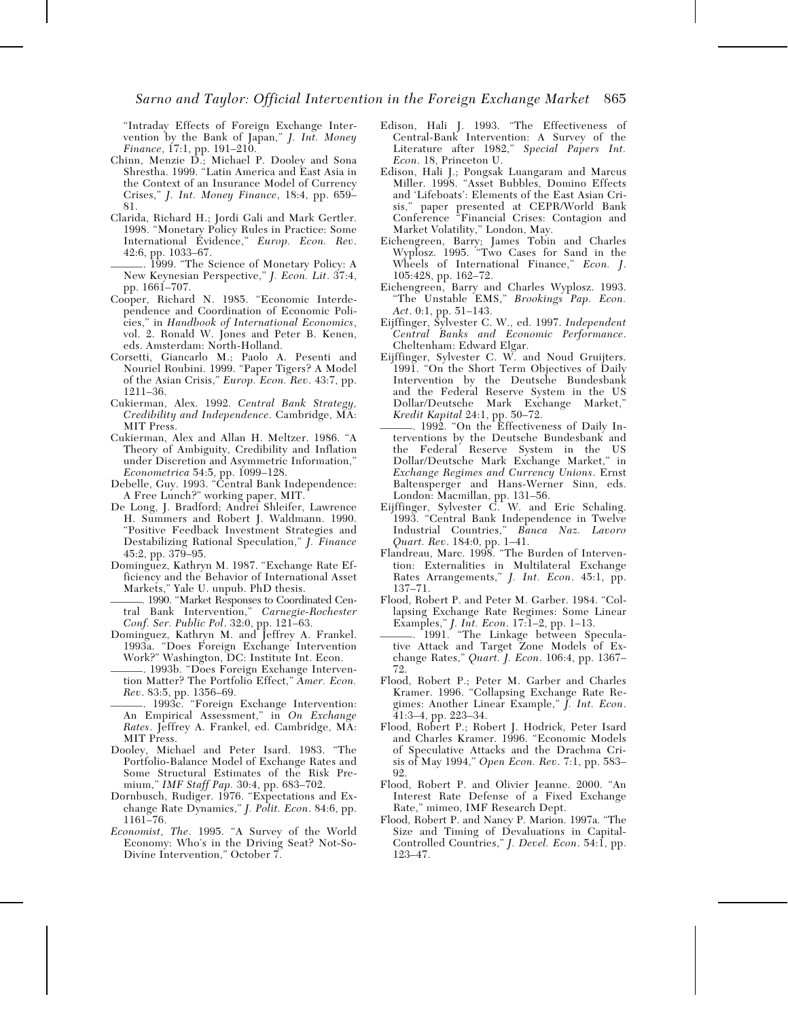"Intraday Effects of Foreign Exchange Intervention by the Bank of Japan," *J. Int. Money Finance*, 17:1, pp. 191–210.

- Chinn, Menzie D.; Michael P. Dooley and Sona Shrestha. 1999. "Latin America and East Asia in the Context of an Insurance Model of Currency Crises," *J. Int. Money Finance*, 18:4, pp. 659– 81.
- Clarida, Richard H.; Jordi Gali and Mark Gertler. 1998. "Monetary Policy Rules in Practice: Some International Evidence," *Europ. Econ. Rev*. 42:6, pp. 1033–67.
- ———. 1999. "The Science of Monetary Policy: A New Keynesian Perspective," *J. Econ. Lit*. 37:4, pp. 1661–707.
- Cooper, Richard N. 1985. "Economic Interdependence and Coordination of Economic Policies," in *Handbook of International Economics*, vol. 2. Ronald W. Jones and Peter B. Kenen, eds. Amsterdam: North-Holland.
- Corsetti, Giancarlo M.; Paolo A. Pesenti and Nouriel Roubini. 1999. "Paper Tigers? A Model of the Asian Crisis," *Europ. Econ. Rev*. 43:7, pp. 1211–36.
- Cukierman, Alex. 1992. *Central Bank Strategy, Credibility and Independence*. Cambridge, MA: MIT Press.
- Cukierman, Alex and Allan H. Meltzer. 1986. "A Theory of Ambiguity, Credibility and Inflation under Discretion and Asymmetric Information," *Econometrica* 54:5, pp. 1099–128.
- Debelle, Guy. 1993. "Central Bank Independence: A Free Lunch?" working paper, MIT.
- De Long, J. Bradford; Andrei Shleifer, Lawrence H. Summers and Robert J. Waldmann. 1990. "Positive Feedback Investment Strategies and Destabilizing Rational Speculation," *J. Finance* 45:2, pp. 379–95.
- Dominguez, Kathryn M. 1987. "Exchange Rate Efficiency and the Behavior of International Asset Markets," Yale U. unpub. PhD thesis.
- ———. 1990. "Market Responses to Coordinated Central Bank Intervention," *Carnegie-Rochester Conf. Ser. Public Pol*. 32:0, pp. 121–63.
- Dominguez, Kathryn M. and Jeffrey A. Frankel. 1993a. "Does Foreign Exchange Intervention Work?" Washington, DC: Institute Int. Econ.
- ———. 1993b. "Does Foreign Exchange Intervention Matter? The Portfolio Effect," *Amer. Econ. Rev*. 83:5, pp. 1356–69.
- . 1993c. "Foreign Exchange Intervention: An Empirical Assessment," in *On Exchange Rates*. Jeffrey A. Frankel, ed. Cambridge, MA: MIT Press.
- Dooley, Michael and Peter Isard. 1983. "The Portfolio-Balance Model of Exchange Rates and Some Structural Estimates of the Risk Premium," *IMF Staff Pap.* 30:4, pp. 683–702.
- Dornbusch, Rudiger. 1976. "Expectations and Exchange Rate Dynamics," *J. Polit. Econ*. 84:6, pp. 1161–76.
- *Economist, The*. 1995. "A Survey of the World Economy: Who's in the Driving Seat? Not-So-Divine Intervention," October 7.
- Edison, Hali J. 1993. "The Effectiveness of Central-Bank Intervention: A Survey of the Literature after 1982," *Special Papers Int. Econ*. 18, Princeton U.
- Edison, Hali J.; Pongsak Luangaram and Marcus Miller. 1998. "Asset Bubbles, Domino Effects and 'Lifeboats': Elements of the East Asian Crisis," paper presented at CEPR/World Bank Conference "Financial Crises: Contagion and Market Volatility," London, May.
- Eichengreen, Barry; James Tobin and Charles Wyplosz. 1995. "Two Cases for Sand in the Wheels of International Finance," *Econ. J*. 105:428, pp. 162–72.
- Eichengreen, Barry and Charles Wyplosz. 1993. "The Unstable EMS," *Brookings Pap. Econ. Act*. 0:1, pp. 51–143.
- Eijffinger, Sylvester C. W., ed. 1997. *Independent Central Banks and Economic Performance*. Cheltenham: Edward Elgar.
- Eijffinger, Sylvester C. W. and Noud Gruijters. 1991. "On the Short Term Objectives of Daily Intervention by the Deutsche Bundesbank and the Federal Reserve System in the US Dollar/Deutsche Mark Exchange Market," *Kredit Kapital* 24:1, pp. 50–72.
- . 1992. "On the Effectiveness of Daily Interventions by the Deutsche Bundesbank and the Federal Reserve System in the US Dollar/Deutsche Mark Exchange Market," in *Exchange Regimes and Currency Unions*. Ernst Baltensperger and Hans-Werner Sinn, eds. London: Macmillan, pp. 131–56.
- Eijffinger, Sylvester C. W. and Eric Schaling. 1993. "Central Bank Independence in Twelve Industrial Countries," *Banca Naz. Lavoro Quart. Rev*. 184:0, pp. 1–41.
- Flandreau, Marc. 1998. "The Burden of Intervention: Externalities in Multilateral Exchange Rates Arrangements," *J. Int. Econ*. 45:1, pp. 137–71.
- Flood, Robert P. and Peter M. Garber. 1984. "Collapsing Exchange Rate Regimes: Some Linear Examples," *J. Int. Econ*. 17:1–2, pp. 1–13.
- ———. 1991. "The Linkage between Speculative Attack and Target Zone Models of Exchange Rates," *Quart. J. Econ*. 106:4, pp. 1367– 72.
- Flood, Robert P.; Peter M. Garber and Charles Kramer. 1996. "Collapsing Exchange Rate Regimes: Another Linear Example," *J. Int. Econ*. 41:3–4, pp. 223–34.
- Flood, Robert P.; Robert J. Hodrick, Peter Isard and Charles Kramer. 1996. "Economic Models of Speculative Attacks and the Drachma Crisis of May 1994," *Open Econ. Rev*. 7:1, pp. 583– 92.
- Flood, Robert P. and Olivier Jeanne. 2000. "An Interest Rate Defense of a Fixed Exchange Rate," mimeo, IMF Research Dept.
- Flood, Robert P. and Nancy P. Marion. 1997a. "The Size and Timing of Devaluations in Capital-Controlled Countries," *J. Devel. Econ*. 54:1, pp. 123–47.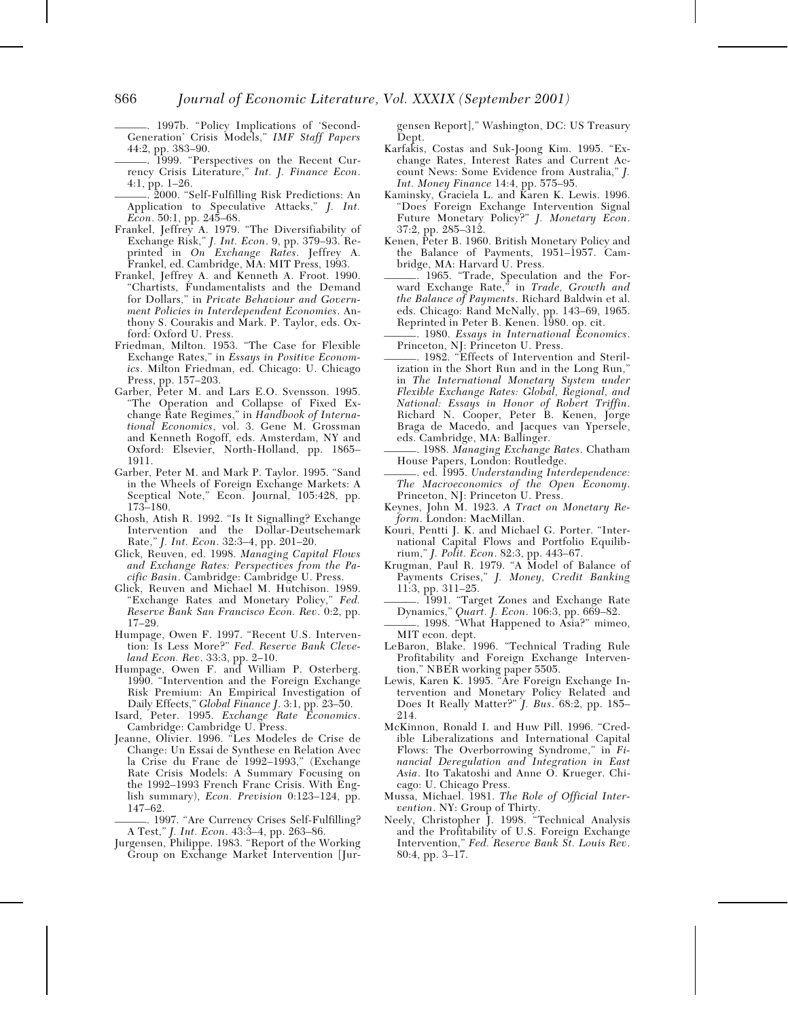———. 1997b. "Policy Implications of 'Second-Generation' Crisis Models," *IMF Staff Papers* 44:2, pp. 383–90.

- ———. 1999. "Perspectives on the Recent Currency Crisis Literature," *Int. J. Finance Econ*. 4:1, pp. 1–26.
- ———. 2000. "Self-Fulfilling Risk Predictions: An Application to Speculative Attacks," *J. Int. Econ*. 50:1, pp. 245–68.
- Frankel, Jeffrey A. 1979. "The Diversifiability of Exchange Risk," *J. Int. Econ*. 9, pp. 379–93. Reprinted in *On Exchange Rates*. Jeffrey A. Frankel, ed. Cambridge, MA: MIT Press, 1993.
- Frankel, Jeffrey A. and Kenneth A. Froot. 1990. "Chartists, Fundamentalists and the Demand for Dollars," in *Private Behaviour and Government Policies in Interdependent Economies*. Anthony S. Courakis and Mark. P. Taylor, eds. Oxford: Oxford U. Press.
- Friedman, Milton. 1953. "The Case for Flexible Exchange Rates," in *Essays in Positive Economics*. Milton Friedman, ed. Chicago: U. Chicago Press, pp. 157–203.
- Garber, Peter M. and Lars E.O. Svensson. 1995. "The Operation and Collapse of Fixed Exchange Rate Regimes," in *Handbook of International Economics*, vol. 3. Gene M. Grossman and Kenneth Rogoff, eds. Amsterdam, NY and Oxford: Elsevier, North-Holland, pp. 1865– 1911.
- Garber, Peter M. and Mark P. Taylor. 1995. "Sand in the Wheels of Foreign Exchange Markets: A Sceptical Note," Econ. Journal, 105:428, pp. 173–180.
- Ghosh, Atish R. 1992. "Is It Signalling? Exchange Intervention and the Dollar-Deutschemark Rate," *J. Int. Econ*. 32:3–4, pp. 201–20.
- Glick, Reuven, ed. 1998. *Managing Capital Flows and Exchange Rates: Perspectives from the Pacific Basin*. Cambridge: Cambridge U. Press.
- Glick, Reuven and Michael M. Hutchison. 1989. "Exchange Rates and Monetary Policy," *Fed. Reserve Bank San Francisco Econ. Rev*. 0:2, pp. 17–29.
- Humpage, Owen F. 1997. "Recent U.S. Intervention: Is Less More?" *Fed. Reserve Bank Cleveland Econ. Rev*. 33:3, pp. 2–10.
- Humpage, Owen F. and William P. Osterberg. 1990. "Intervention and the Foreign Exchange Risk Premium: An Empirical Investigation of Daily Effects," *Global Finance J*. 3:1, pp. 23–50.
- Isard, Peter. 1995. *Exchange Rate Economics*. Cambridge: Cambridge U. Press.
- Jeanne, Olivier. 1996. "Les Modeles de Crise de Change: Un Essai de Synthese en Relation Avec la Crise du Franc de 1992–1993," (Exchange Rate Crisis Models: A Summary Focusing on the 1992–1993 French Franc Crisis. With English summary), *Econ. Prevision* 0:123–124, pp. 147–62.
- .. 1997. "Are Currency Crises Self-Fulfilling? A Test," *J. Int. Econ*. 43:3–4, pp. 263–86.
- Jurgensen, Philippe. 1983. "Report of the Working Group on Exchange Market Intervention [Jur-

gensen Report]," Washington, DC: US Treasury Dept.

- Karfakis, Costas and Suk-Joong Kim. 1995. "Exchange Rates, Interest Rates and Current Account News: Some Evidence from Australia," *J. Int. Money Finance* 14:4, pp. 575–95.
- Kaminsky, Graciela L. and Karen K. Lewis. 1996. "Does Foreign Exchange Intervention Signal Future Monetary Policy?" *J. Monetary Econ*. 37:2, pp. 285–312.
- Kenen, Peter B. 1960. British Monetary Policy and the Balance of Payments, 1951–1957. Cambridge, MA: Harvard U. Press.
- 1965. "Trade, Speculation and the Forward Exchange Rate," in *Trade, Growth and the Balance of Payments*. Richard Baldwin et al. eds. Chicago: Rand McNally, pp. 143–69, 1965. Reprinted in Peter B. Kenen. 1980. op. cit.
- ———. 1980. *Essays in International Economics*. Princeton, NJ: Princeton U. Press.
- ———. 1982. "Effects of Intervention and Sterilization in the Short Run and in the Long Run," in *The International Monetary System under Flexible Exchange Rates: Global, Regional, and National: Essays in Honor of Robert Triffin*. Richard N. Cooper, Peter B. Kenen, Jorge Braga de Macedo, and Jacques van Ypersele, eds. Cambridge, MA: Ballinger.
- ———. 1988. *Managing Exchange Rates*. Chatham House Papers, London: Routledge.
- ———. ed. 1995. *Understanding Interdependence: The Macroeconomics of the Open Economy*. Princeton, NJ: Princeton U. Press.
- Keynes, John M. 1923. *A Tract on Monetary Reform*. London: MacMillan.
- Kouri, Pentti J. K. and Michael G. Porter. "International Capital Flows and Portfolio Equilibrium," *J. Polit. Econ*. 82:3, pp. 443–67.
- Krugman, Paul R. 1979. "A Model of Balance of Payments Crises," *J. Money, Credit Banking* 11:3, pp. 311–25.
- ———. 1991. "Target Zones and Exchange Rate Dynamics," *Quart. J. Econ*. 106:3, pp. 669–82.
- ———. 1998. "What Happened to Asia?" mimeo, MIT econ. dept.
- LeBaron, Blake. 1996. "Technical Trading Rule Profitability and Foreign Exchange Intervention," NBER working paper 5505.
- Lewis, Karen K. 1995. "Are Foreign Exchange Intervention and Monetary Policy Related and Does It Really Matter?" *J. Bus*. 68:2, pp. 185– 214.
- McKinnon, Ronald I. and Huw Pill. 1996. "Credible Liberalizations and International Capital Flows: The Overborrowing Syndrome," in *Financial Deregulation and Integration in East Asia*. Ito Takatoshi and Anne O. Krueger. Chicago: U. Chicago Press.
- Mussa, Michael. 1981. *The Role of Official Intervention*. NY: Group of Thirty.
- Neely, Christopher J. 1998. "Technical Analysis and the Profitability of U.S. Foreign Exchange Intervention," *Fed. Reserve Bank St. Louis Rev*. 80:4, pp. 3–17.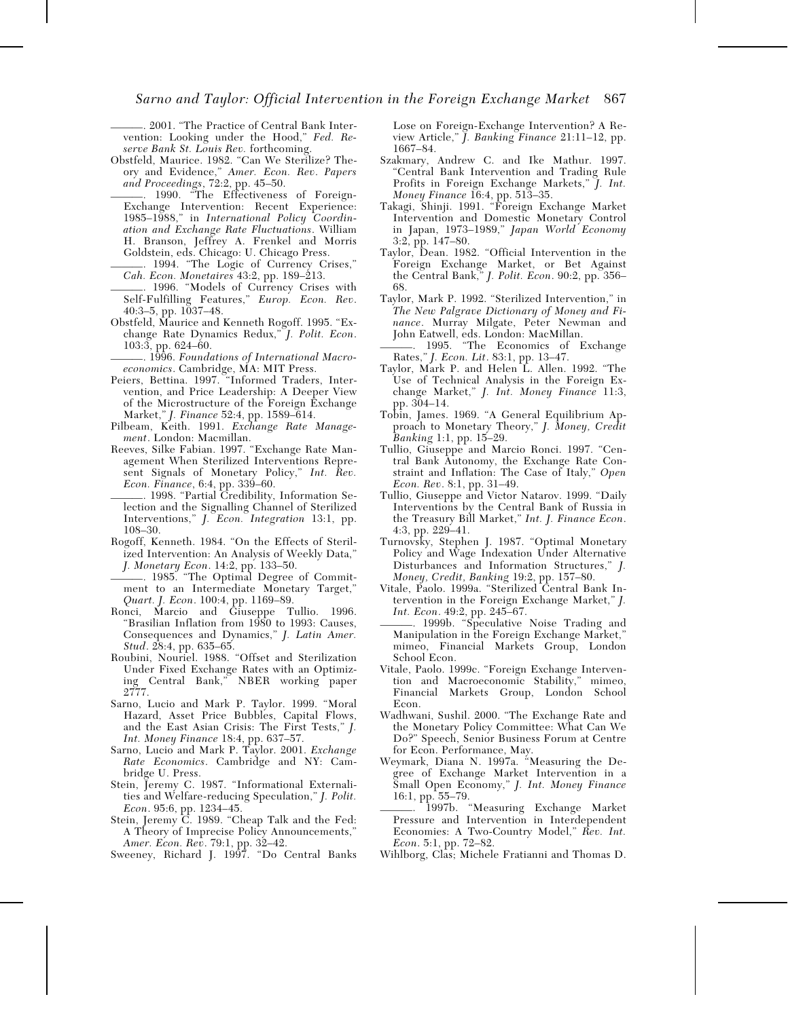———. 2001. "The Practice of Central Bank Intervention: Looking under the Hood," *Fed. Reserve Bank St. Louis Rev.* forthcoming.

- Obstfeld, Maurice. 1982. "Can We Sterilize? Theory and Evidence," *Amer. Econ. Rev*. *Papers and Proceedings*, 72:2, pp. 45–50.
	- ———. 1990. "The Effectiveness of Foreign-Exchange Intervention: Recent Experience: 1985–1988," in *International Policy Coordination and Exchange Rate Fluctuations*. William H. Branson, Jeffrey A. Frenkel and Morris Goldstein, eds. Chicago: U. Chicago Press.
- ———. 1994. "The Logic of Currency Crises," *Cah. Econ. Monetaires* 43:2, pp. 189–213.
- ———. 1996. "Models of Currency Crises with Self-Fulfilling Features," *Europ. Econ. Rev*. 40:3–5, pp. 1037–48.
- Obstfeld, Maurice and Kenneth Rogoff. 1995. "Exchange Rate Dynamics Redux," *J. Polit. Econ*. 103:3, pp. 624–60.
- ———. 1996. *Foundations of International Macroeconomics*. Cambridge, MA: MIT Press.
- Peiers, Bettina. 1997. "Informed Traders, Intervention, and Price Leadership: A Deeper View of the Microstructure of the Foreign Exchange Market," *J. Finance* 52:4, pp. 1589–614.
- Pilbeam, Keith. 1991. *Exchange Rate Management*. London: Macmillan.
- Reeves, Silke Fabian. 1997. "Exchange Rate Management When Sterilized Interventions Represent Signals of Monetary Policy," *Int. Rev. Econ. Finance*, 6:4, pp. 339–60.
- ———. 1998. "Partial Credibility, Information Selection and the Signalling Channel of Sterilized Interventions," *J. Econ. Integration* 13:1, pp. 108–30.
- Rogoff, Kenneth. 1984. "On the Effects of Sterilized Intervention: An Analysis of Weekly Data," *J. Monetary Econ*. 14:2, pp. 133–50.

———. 1985. "The Optimal Degree of Commitment to an Intermediate Monetary Target," *Quart. J. Econ*. 100:4, pp. 1169–89.

- Ronci, Marcio and Giuseppe Tullio. 1996. "Brasilian Inflation from 1980 to 1993: Causes, Consequences and Dynamics," *J. Latin Amer. Stud*. 28:4, pp. 635–65.
- Roubini, Nouriel. 1988. "Offset and Sterilization Under Fixed Exchange Rates with an Optimizing Central Bank," NBER working paper 2777.
- Sarno, Lucio and Mark P. Taylor. 1999. "Moral Hazard, Asset Price Bubbles, Capital Flows, and the East Asian Crisis: The First Tests," *J. Int. Money Finance* 18:4, pp. 637–57.
- Sarno, Lucio and Mark P. Taylor. 2001. *Exchange Rate Economics*. Cambridge and NY: Cambridge U. Press.
- Stein, Jeremy C. 1987. "Informational Externalities and Welfare-reducing Speculation," *J. Polit. Econ*. 95:6, pp. 1234–45.
- Stein, Jeremy C. 1989. "Cheap Talk and the Fed: A Theory of Imprecise Policy Announcements," *Amer. Econ. Rev*. 79:1, pp. 32–42.

Sweeney, Richard J. 1997. "Do Central Banks

Lose on Foreign-Exchange Intervention? A Review Article," *J. Banking Finance* 21:11–12, pp. 1667–84.

- Szakmary, Andrew C. and Ike Mathur. 1997. "Central Bank Intervention and Trading Rule Profits in Foreign Exchange Markets," *J. Int. Money Finance* 16:4, pp. 513–35.
- Takagi, Shinji. 1991. "Foreign Exchange Market Intervention and Domestic Monetary Control in Japan, 1973–1989," *Japan World Economy* 3:2, pp. 147–80.
- Taylor, Dean. 1982. "Official Intervention in the Foreign Exchange Market, or Bet Against the Central Bank," *J. Polit. Econ*. 90:2, pp. 356– 68.
- Taylor, Mark P. 1992. "Sterilized Intervention," in *The New Palgrave Dictionary of Money and Finance*. Murray Milgate, Peter Newman and John Eatwell, eds. London: MacMillan.

———. 1995. "The Economics of Exchange Rates," *J. Econ. Lit*. 83:1, pp. 13–47.

- Taylor, Mark P. and Helen L. Allen. 1992. "The Use of Technical Analysis in the Foreign Exchange Market," *J. Int. Money Finance* 11:3, pp. 304–14.
- Tobin, James. 1969. "A General Equilibrium Approach to Monetary Theory," *J. Money, Credit Banking* 1:1, pp. 15–29.
- Tullio, Giuseppe and Marcio Ronci. 1997. "Central Bank Autonomy, the Exchange Rate Constraint and Inflation: The Case of Italy," *Open Econ. Rev*. 8:1, pp. 31–49.
- Tullio, Giuseppe and Victor Natarov. 1999. "Daily Interventions by the Central Bank of Russia in the Treasury Bill Market," *Int. J. Finance Econ*. 4:3, pp. 229–41.
- Turnovsky, Stephen J. 1987. "Optimal Monetary Policy and Wage Indexation Under Alternative Disturbances and Information Structures," *J. Money, Credit, Banking* 19:2, pp. 157–80.
- Vitale, Paolo. 1999a. "Sterilized Central Bank Intervention in the Foreign Exchange Market," *J. Int. Econ*. 49:2, pp. 245–67.
- 1999b. "Speculative Noise Trading and Manipulation in the Foreign Exchange Market," mimeo, Financial Markets Group, London School Econ.
- Vitale, Paolo. 1999c. "Foreign Exchange Intervention and Macroeconomic Stability," mimeo, Financial Markets Group, London School Econ.
- Wadhwani, Sushil. 2000. "The Exchange Rate and the Monetary Policy Committee: What Can We Do?" Speech, Senior Business Forum at Centre for Econ. Performance, May.
- Weymark, Diana N. 1997a. "Measuring the Degree of Exchange Market Intervention in a Small Open Economy," *J. Int. Money Finance* 16:1, pp. 55–79.
- 1997b. "Measuring Exchange Market Pressure and Intervention in Interdependent Economies: A Two-Country Model," *Rev. Int. Econ*. 5:1, pp. 72–82.
- Wihlborg, Clas; Michele Fratianni and Thomas D.